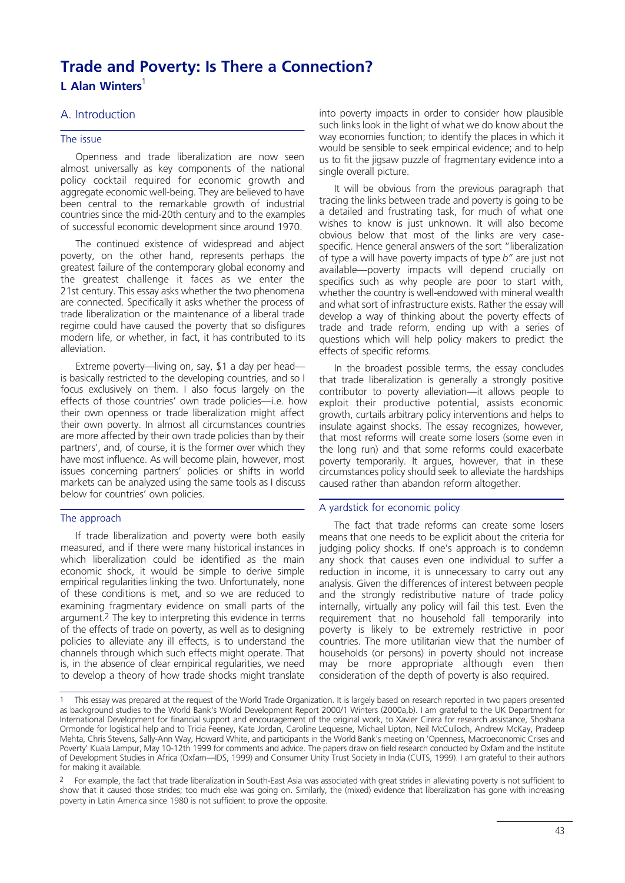# **Trade and Poverty: Is There a Connection? L Alan Winters** 1

## A. Introduction

### The issue

Openness and trade liberalization are now seen almost universally as key components of the national policy cocktail required for economic growth and aggregate economic well-being. They are believed to have been central to the remarkable growth of industrial countries since the mid-20th century and to the examples of successful economic development since around 1970.

The continued existence of widespread and abject poverty, on the other hand, represents perhaps the greatest failure of the contemporary global economy and the greatest challenge it faces as we enter the 21st century. This essay asks whether the two phenomena are connected. Specifically it asks whether the process of trade liberalization or the maintenance of a liberal trade regime could have caused the poverty that so disfigures modern life, or whether, in fact, it has contributed to its alleviation.

Extreme poverty—living on, say, \$1 a day per head is basically restricted to the developing countries, and so I focus exclusively on them. I also focus largely on the effects of those countries' own trade policies—i.e. how their own openness or trade liberalization might affect their own poverty. In almost all circumstances countries are more affected by their own trade policies than by their partners', and, of course, it is the former over which they have most influence. As will become plain, however, most issues concerning partners' policies or shifts in world markets can be analyzed using the same tools as I discuss below for countries' own policies.

### The approach

If trade liberalization and poverty were both easily measured, and if there were many historical instances in which liberalization could be identified as the main economic shock, it would be simple to derive simple empirical regularities linking the two. Unfortunately, none of these conditions is met, and so we are reduced to examining fragmentary evidence on small parts of the argument.2 The key to interpreting this evidence in terms of the effects of trade on poverty, as well as to designing policies to alleviate any ill effects, is to understand the channels through which such effects might operate. That is, in the absence of clear empirical regularities, we need to develop a theory of how trade shocks might translate into poverty impacts in order to consider how plausible such links look in the light of what we do know about the way economies function; to identify the places in which it would be sensible to seek empirical evidence; and to help us to fit the jigsaw puzzle of fragmentary evidence into a single overall picture.

It will be obvious from the previous paragraph that tracing the links between trade and poverty is going to be a detailed and frustrating task, for much of what one wishes to know is just unknown. It will also become obvious below that most of the links are very casespecific. Hence general answers of the sort "liberalization of type a will have poverty impacts of type *b"* are just not available—poverty impacts will depend crucially on specifics such as why people are poor to start with, whether the country is well-endowed with mineral wealth and what sort of infrastructure exists. Rather the essay will develop a way of thinking about the poverty effects of trade and trade reform, ending up with a series of questions which will help policy makers to predict the effects of specific reforms.

In the broadest possible terms, the essay concludes that trade liberalization is generally a strongly positive contributor to poverty alleviation—it allows people to exploit their productive potential, assists economic growth, curtails arbitrary policy interventions and helps to insulate against shocks. The essay recognizes, however, that most reforms will create some losers (some even in the long run) and that some reforms could exacerbate poverty temporarily. It argues, however, that in these circumstances policy should seek to alleviate the hardships caused rather than abandon reform altogether.

## A yardstick for economic policy

The fact that trade reforms can create some losers means that one needs to be explicit about the criteria for judging policy shocks. If one's approach is to condemn any shock that causes even one individual to suffer a reduction in income, it is unnecessary to carry out any analysis. Given the differences of interest between people and the strongly redistributive nature of trade policy internally, virtually any policy will fail this test. Even the requirement that no household fall temporarily into poverty is likely to be extremely restrictive in poor countries. The more utilitarian view that the number of households (or persons) in poverty should not increase may be more appropriate although even then consideration of the depth of poverty is also required.

<sup>1</sup> This essay was prepared at the request of the World Trade Organization. It is largely based on research reported in two papers presented as background studies to the World Bank's World Development Report 2000/1 Winters (2000a,b). I am grateful to the UK Department for International Development for financial support and encouragement of the original work, to Xavier Cirera for research assistance, Shoshana Ormonde for logistical help and to Tricia Feeney, Kate Jordan, Caroline Lequesne, Michael Lipton, Neil McCulloch, Andrew McKay, Pradeep Mehta, Chris Stevens, Sally-Ann Way, Howard White, and participants in the World Bank's meeting on 'Openness, Macroeconomic Crises and Poverty' Kuala Lampur, May 10-12th 1999 for comments and advice. The papers draw on field research conducted by Oxfam and the Institute of Development Studies in Africa (Oxfam—IDS, 1999) and Consumer Unity Trust Society in India (CUTS, 1999). I am grateful to their authors for making it available.

<sup>2</sup> For example, the fact that trade liberalization in South-East Asia was associated with great strides in alleviating poverty is not sufficient to show that it caused those strides; too much else was going on. Similarly, the (mixed) evidence that liberalization has gone with increasing poverty in Latin America since 1980 is not sufficient to prove the opposite.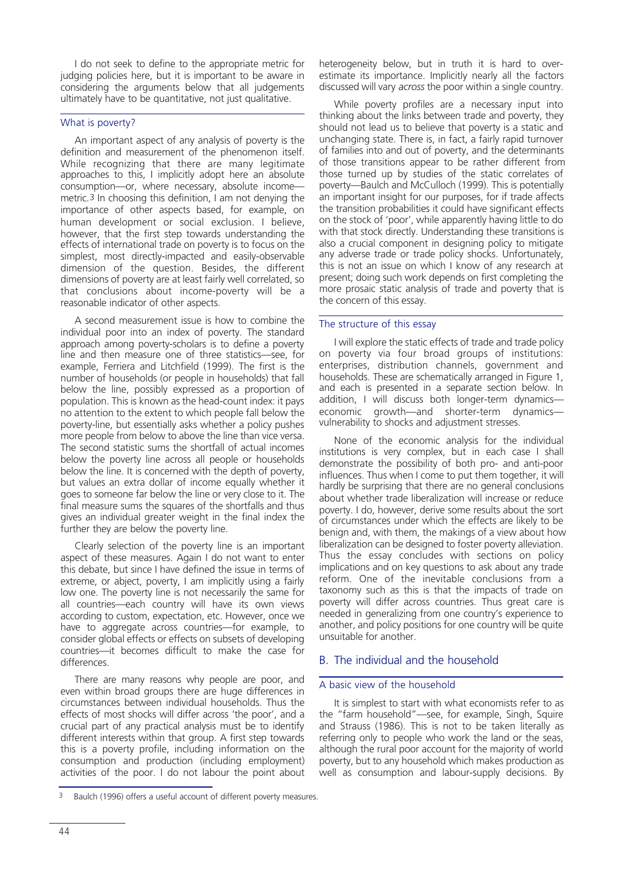I do not seek to define to the appropriate metric for judging policies here, but it is important to be aware in considering the arguments below that all judgements ultimately have to be quantitative, not just qualitative.

### What is poverty?

An important aspect of any analysis of poverty is the definition and measurement of the phenomenon itself. While recognizing that there are many legitimate approaches to this, I implicitly adopt here an absolute consumption—or, where necessary, absolute income metric.3 In choosing this definition, I am not denying the importance of other aspects based, for example, on human development or social exclusion. I believe, however, that the first step towards understanding the effects of international trade on poverty is to focus on the simplest, most directly-impacted and easily-observable dimension of the question. Besides, the different dimensions of poverty are at least fairly well correlated, so that conclusions about income-poverty will be a reasonable indicator of other aspects.

A second measurement issue is how to combine the individual poor into an index of poverty. The standard approach among poverty-scholars is to define a poverty line and then measure one of three statistics—see, for example, Ferriera and Litchfield (1999). The first is the number of households (or people in households) that fall below the line, possibly expressed as a proportion of population. This is known as the head-count index: it pays no attention to the extent to which people fall below the poverty-line, but essentially asks whether a policy pushes more people from below to above the line than vice versa. The second statistic sums the shortfall of actual incomes below the poverty line across all people or households below the line. It is concerned with the depth of poverty, but values an extra dollar of income equally whether it goes to someone far below the line or very close to it. The final measure sums the squares of the shortfalls and thus gives an individual greater weight in the final index the further they are below the poverty line.

Clearly selection of the poverty line is an important aspect of these measures. Again I do not want to enter this debate, but since I have defined the issue in terms of extreme, or abject, poverty, I am implicitly using a fairly low one. The poverty line is not necessarily the same for all countries—each country will have its own views according to custom, expectation, etc. However, once we have to aggregate across countries—for example, to consider global effects or effects on subsets of developing countries—it becomes difficult to make the case for differences.

There are many reasons why people are poor, and even within broad groups there are huge differences in circumstances between individual households. Thus the effects of most shocks will differ across 'the poor', and a crucial part of any practical analysis must be to identify different interests within that group. A first step towards this is a poverty profile, including information on the consumption and production (including employment) activities of the poor. I do not labour the point about

heterogeneity below, but in truth it is hard to overestimate its importance. Implicitly nearly all the factors discussed will vary *across* the poor within a single country.

While poverty profiles are a necessary input into thinking about the links between trade and poverty, they should not lead us to believe that poverty is a static and unchanging state. There is, in fact, a fairly rapid turnover of families into and out of poverty, and the determinants of those transitions appear to be rather different from those turned up by studies of the static correlates of poverty—Baulch and McCulloch (1999). This is potentially an important insight for our purposes, for if trade affects the transition probabilities it could have significant effects on the stock of 'poor', while apparently having little to do with that stock directly. Understanding these transitions is also a crucial component in designing policy to mitigate any adverse trade or trade policy shocks. Unfortunately, this is not an issue on which I know of any research at present; doing such work depends on first completing the more prosaic static analysis of trade and poverty that is the concern of this essay.

### The structure of this essay

I will explore the static effects of trade and trade policy on poverty via four broad groups of institutions: enterprises, distribution channels, government and households. These are schematically arranged in Figure 1, and each is presented in a separate section below. In addition, I will discuss both longer-term dynamics economic growth—and shorter-term dynamics vulnerability to shocks and adjustment stresses.

None of the economic analysis for the individual institutions is very complex, but in each case I shall demonstrate the possibility of both pro- and anti-poor influences. Thus when I come to put them together, it will hardly be surprising that there are no general conclusions about whether trade liberalization will increase or reduce poverty. I do, however, derive some results about the sort of circumstances under which the effects are likely to be benign and, with them, the makings of a view about how liberalization can be designed to foster poverty alleviation. Thus the essay concludes with sections on policy implications and on key questions to ask about any trade reform. One of the inevitable conclusions from a taxonomy such as this is that the impacts of trade on poverty will differ across countries. Thus great care is needed in generalizing from one country's experience to another, and policy positions for one country will be quite unsuitable for another.

## B. The individual and the household

### A basic view of the household

It is simplest to start with what economists refer to as the "farm household"—see, for example, Singh, Squire and Strauss (1986). This is not to be taken literally as referring only to people who work the land or the seas, although the rural poor account for the majority of world poverty, but to any household which makes production as well as consumption and labour-supply decisions. By

<sup>3</sup> Baulch (1996) offers a useful account of different poverty measures.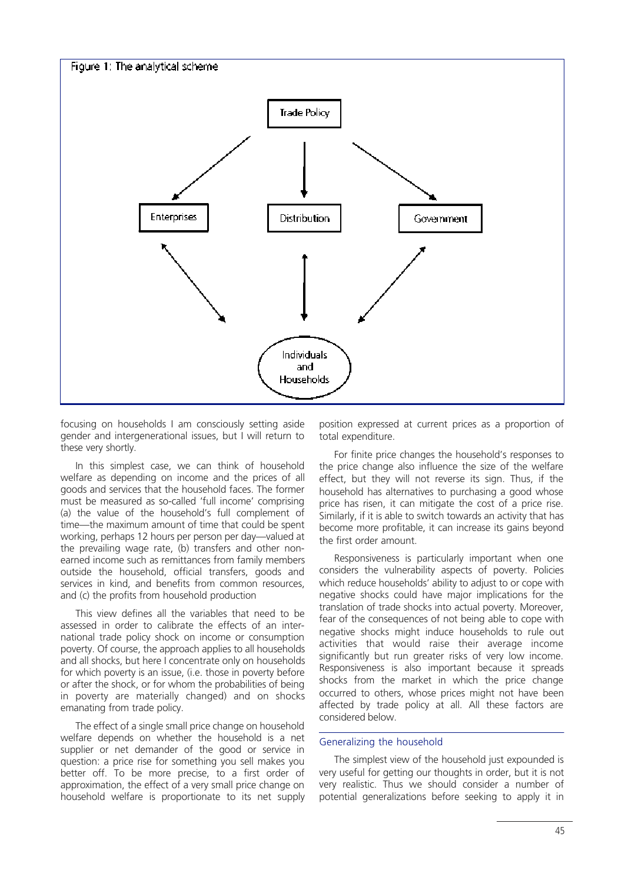

focusing on households I am consciously setting aside gender and intergenerational issues, but I will return to these very shortly.

In this simplest case, we can think of household welfare as depending on income and the prices of all goods and services that the household faces. The former must be measured as so-called 'full income' comprising (a) the value of the household's full complement of time—the maximum amount of time that could be spent working, perhaps 12 hours per person per day—valued at the prevailing wage rate, (b) transfers and other nonearned income such as remittances from family members outside the household, official transfers, goods and services in kind, and benefits from common resources, and (c) the profits from household production

This view defines all the variables that need to be assessed in order to calibrate the effects of an international trade policy shock on income or consumption poverty. Of course, the approach applies to all households and all shocks, but here I concentrate only on households for which poverty is an issue, (i.e. those in poverty before or after the shock, or for whom the probabilities of being in poverty are materially changed) and on shocks emanating from trade policy.

The effect of a single small price change on household welfare depends on whether the household is a net supplier or net demander of the good or service in question: a price rise for something you sell makes you better off. To be more precise, to a first order of approximation, the effect of a very small price change on household welfare is proportionate to its net supply position expressed at current prices as a proportion of total expenditure.

For finite price changes the household's responses to the price change also influence the size of the welfare effect, but they will not reverse its sign. Thus, if the household has alternatives to purchasing a good whose price has risen, it can mitigate the cost of a price rise. Similarly, if it is able to switch towards an activity that has become more profitable, it can increase its gains beyond the first order amount.

Responsiveness is particularly important when one considers the vulnerability aspects of poverty. Policies which reduce households' ability to adjust to or cope with negative shocks could have major implications for the translation of trade shocks into actual poverty. Moreover, fear of the consequences of not being able to cope with negative shocks might induce households to rule out activities that would raise their average income significantly but run greater risks of very low income. Responsiveness is also important because it spreads shocks from the market in which the price change occurred to others, whose prices might not have been affected by trade policy at all. All these factors are considered below.

### Generalizing the household

The simplest view of the household just expounded is very useful for getting our thoughts in order, but it is not very realistic. Thus we should consider a number of potential generalizations before seeking to apply it in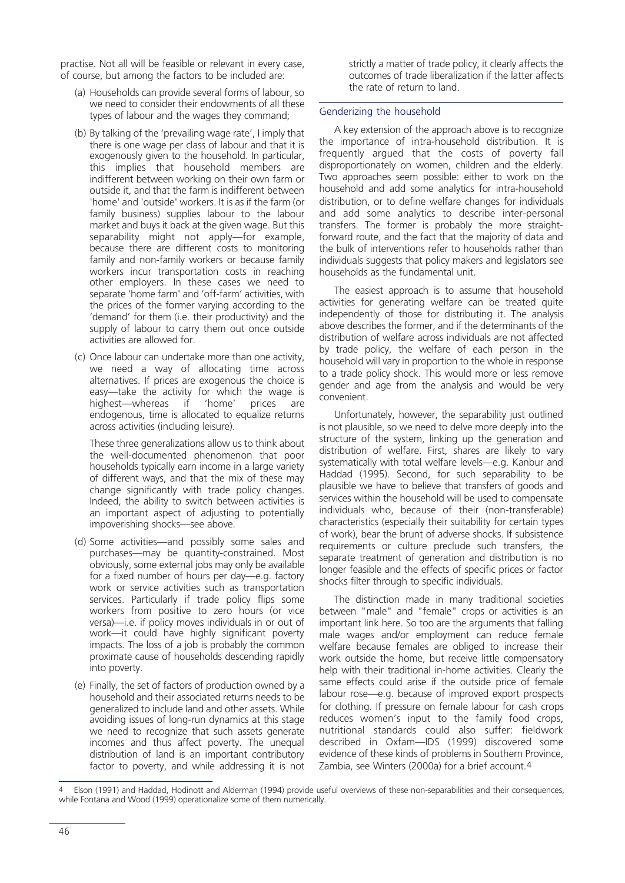practise. Not all will be feasible or relevant in every case, of course, but among the factors to be included are:

- (a) Households can provide several forms of labour, so we need to consider their endowments of all these types of labour and the wages they command;
- (b) By talking of the 'prevailing wage rate', I imply that there is one wage per class of labour and that it is exogenously given to the household. In particular, this implies that household members are indifferent between working on their own farm or outside it, and that the farm is indifferent between 'home' and 'outside' workers. It is as if the farm (or family business) supplies labour to the labour market and buys it back at the given wage. But this separability might not apply—for example, because there are different costs to monitoring family and non-family workers or because family workers incur transportation costs in reaching other employers. In these cases we need to separate 'home farm' and 'off-farm' activities, with the prices of the former varying according to the 'demand' for them (i.e. their productivity) and the supply of labour to carry them out once outside activities are allowed for.
- (c) Once labour can undertake more than one activity, we need a way of allocating time across alternatives. If prices are exogenous the choice is easy—take the activity for which the wage is highest—whereas if 'home' prices are endogenous, time is allocated to equalize returns across activities (including leisure).

These three generalizations allow us to think about the well-documented phenomenon that poor households typically earn income in a large variety of different ways, and that the mix of these may change significantly with trade policy changes. Indeed, the ability to switch between activities is an important aspect of adjusting to potentially impoverishing shocks—see above.

- (d) Some activities—and possibly some sales and purchases—may be quantity-constrained. Most obviously, some external jobs may only be available for a fixed number of hours per day—e.g. factory work or service activities such as transportation services. Particularly if trade policy flips some workers from positive to zero hours (or vice versa)—i.e. if policy moves individuals in or out of work—it could have highly significant poverty impacts. The loss of a job is probably the common proximate cause of households descending rapidly into poverty.
- (e) Finally, the set of factors of production owned by a household and their associated returns needs to be generalized to include land and other assets. While avoiding issues of long-run dynamics at this stage we need to recognize that such assets generate incomes and thus affect poverty. The unequal distribution of land is an important contributory factor to poverty, and while addressing it is not

strictly a matter of trade policy, it clearly affects the outcomes of trade liberalization if the latter affects the rate of return to land.

### Genderizing the household

A key extension of the approach above is to recognize the importance of intra-household distribution. It is frequently argued that the costs of poverty fall disproportionately on women, children and the elderly. Two approaches seem possible: either to work on the household and add some analytics for intra-household distribution, or to define welfare changes for individuals and add some analytics to describe inter-personal transfers. The former is probably the more straightforward route, and the fact that the majority of data and the bulk of interventions refer to households rather than individuals suggests that policy makers and legislators see households as the fundamental unit.

The easiest approach is to assume that household activities for generating welfare can be treated quite independently of those for distributing it. The analysis above describes the former, and if the determinants of the distribution of welfare across individuals are not affected by trade policy, the welfare of each person in the household will vary in proportion to the whole in response to a trade policy shock. This would more or less remove gender and age from the analysis and would be very convenient.

Unfortunately, however, the separability just outlined is not plausible, so we need to delve more deeply into the structure of the system, linking up the generation and distribution of welfare. First, shares are likely to vary systematically with total welfare levels—e.g. Kanbur and Haddad (1995). Second, for such separability to be plausible we have to believe that transfers of goods and services within the household will be used to compensate individuals who, because of their (non-transferable) characteristics (especially their suitability for certain types of work), bear the brunt of adverse shocks. If subsistence requirements or culture preclude such transfers, the separate treatment of generation and distribution is no longer feasible and the effects of specific prices or factor shocks filter through to specific individuals.

The distinction made in many traditional societies between "male" and "female" crops or activities is an important link here. So too are the arguments that falling male wages and/or employment can reduce female welfare because females are obliged to increase their work outside the home, but receive little compensatory help with their traditional in-home activities. Clearly the same effects could arise if the outside price of female labour rose—e.g. because of improved export prospects for clothing. If pressure on female labour for cash crops reduces women's input to the family food crops, nutritional standards could also suffer: fieldwork described in Oxfam—IDS (1999) discovered some evidence of these kinds of problems in Southern Province, Zambia, see Winters (2000a) for a brief account.4

<sup>4</sup> Elson (1991) and Haddad, Hodinott and Alderman (1994) provide useful overviews of these non-separabilities and their consequences, while Fontana and Wood (1999) operationalize some of them numerically.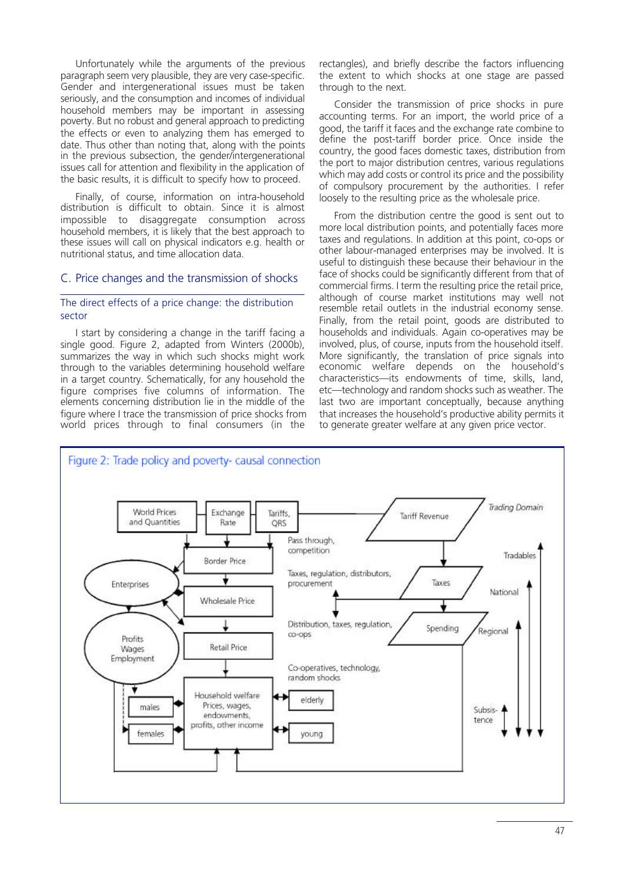Unfortunately while the arguments of the previous paragraph seem very plausible, they are very case-specific. Gender and intergenerational issues must be taken seriously, and the consumption and incomes of individual household members may be important in assessing poverty. But no robust and general approach to predicting the effects or even to analyzing them has emerged to date. Thus other than noting that, along with the points in the previous subsection, the gender/intergenerational issues call for attention and flexibility in the application of the basic results, it is difficult to specify how to proceed.

Finally, of course, information on intra-household distribution is difficult to obtain. Since it is almost impossible to disaggregate consumption across household members, it is likely that the best approach to these issues will call on physical indicators e.g. health or nutritional status, and time allocation data.

## C. Price changes and the transmission of shocks

## The direct effects of a price change: the distribution sector

I start by considering a change in the tariff facing a single good. Figure 2, adapted from Winters (2000b), summarizes the way in which such shocks might work through to the variables determining household welfare in a target country. Schematically, for any household the figure comprises five columns of information. The elements concerning distribution lie in the middle of the figure where I trace the transmission of price shocks from world prices through to final consumers (in the

rectangles), and briefly describe the factors influencing the extent to which shocks at one stage are passed through to the next.

Consider the transmission of price shocks in pure accounting terms. For an import, the world price of a good, the tariff it faces and the exchange rate combine to define the post-tariff border price. Once inside the country, the good faces domestic taxes, distribution from the port to major distribution centres, various regulations which may add costs or control its price and the possibility of compulsory procurement by the authorities. I refer loosely to the resulting price as the wholesale price.

From the distribution centre the good is sent out to more local distribution points, and potentially faces more taxes and regulations. In addition at this point, co-ops or other labour-managed enterprises may be involved. It is useful to distinguish these because their behaviour in the face of shocks could be significantly different from that of commercial firms. I term the resulting price the retail price, although of course market institutions may well not resemble retail outlets in the industrial economy sense. Finally, from the retail point, goods are distributed to households and individuals. Again co-operatives may be involved, plus, of course, inputs from the household itself. More significantly, the translation of price signals into economic welfare depends on the household's characteristics—its endowments of time, skills, land, etc—technology and random shocks such as weather. The last two are important conceptually, because anything that increases the household's productive ability permits it to generate greater welfare at any given price vector.

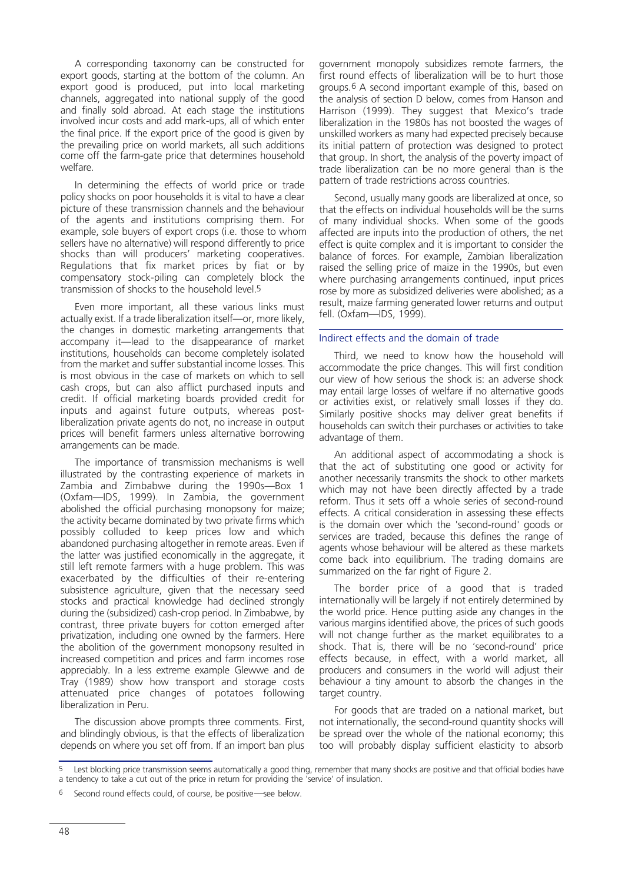A corresponding taxonomy can be constructed for export goods, starting at the bottom of the column. An export good is produced, put into local marketing channels, aggregated into national supply of the good and finally sold abroad. At each stage the institutions involved incur costs and add mark-ups, all of which enter the final price. If the export price of the good is given by the prevailing price on world markets, all such additions come off the farm-gate price that determines household welfare.

In determining the effects of world price or trade policy shocks on poor households it is vital to have a clear picture of these transmission channels and the behaviour of the agents and institutions comprising them. For example, sole buyers of export crops (i.e. those to whom sellers have no alternative) will respond differently to price shocks than will producers' marketing cooperatives. Regulations that fix market prices by fiat or by compensatory stock-piling can completely block the transmission of shocks to the household level.5

Even more important, all these various links must actually exist. If a trade liberalization itself—or, more likely, the changes in domestic marketing arrangements that accompany it—lead to the disappearance of market institutions, households can become completely isolated from the market and suffer substantial income losses. This is most obvious in the case of markets on which to sell cash crops, but can also afflict purchased inputs and credit. If official marketing boards provided credit for inputs and against future outputs, whereas postliberalization private agents do not, no increase in output prices will benefit farmers unless alternative borrowing arrangements can be made.

The importance of transmission mechanisms is well illustrated by the contrasting experience of markets in Zambia and Zimbabwe during the 1990s—Box 1 (Oxfam—IDS, 1999). In Zambia, the government abolished the official purchasing monopsony for maize; the activity became dominated by two private firms which possibly colluded to keep prices low and which abandoned purchasing altogether in remote areas. Even if the latter was justified economically in the aggregate, it still left remote farmers with a huge problem. This was exacerbated by the difficulties of their re-entering subsistence agriculture, given that the necessary seed stocks and practical knowledge had declined strongly during the (subsidized) cash-crop period. In Zimbabwe, by contrast, three private buyers for cotton emerged after privatization, including one owned by the farmers. Here the abolition of the government monopsony resulted in increased competition and prices and farm incomes rose appreciably. In a less extreme example Glewwe and de Tray (1989) show how transport and storage costs attenuated price changes of potatoes following liberalization in Peru.

The discussion above prompts three comments. First, and blindingly obvious, is that the effects of liberalization depends on where you set off from. If an import ban plus government monopoly subsidizes remote farmers, the first round effects of liberalization will be to hurt those groups.6 A second important example of this, based on the analysis of section D below, comes from Hanson and Harrison (1999). They suggest that Mexico's trade liberalization in the 1980s has not boosted the wages of unskilled workers as many had expected precisely because its initial pattern of protection was designed to protect that group. In short, the analysis of the poverty impact of trade liberalization can be no more general than is the pattern of trade restrictions across countries.

Second, usually many goods are liberalized at once, so that the effects on individual households will be the sums of many individual shocks. When some of the goods affected are inputs into the production of others, the net effect is quite complex and it is important to consider the balance of forces. For example, Zambian liberalization raised the selling price of maize in the 1990s, but even where purchasing arrangements continued, input prices rose by more as subsidized deliveries were abolished; as a result, maize farming generated lower returns and output fell. (Oxfam—IDS, 1999).

### Indirect effects and the domain of trade

Third, we need to know how the household will accommodate the price changes. This will first condition our view of how serious the shock is: an adverse shock may entail large losses of welfare if no alternative goods or activities exist, or relatively small losses if they do. Similarly positive shocks may deliver great benefits if households can switch their purchases or activities to take advantage of them.

An additional aspect of accommodating a shock is that the act of substituting one good or activity for another necessarily transmits the shock to other markets which may not have been directly affected by a trade reform. Thus it sets off a whole series of second-round effects. A critical consideration in assessing these effects is the domain over which the 'second-round' goods or services are traded, because this defines the range of agents whose behaviour will be altered as these markets come back into equilibrium. The trading domains are summarized on the far right of Figure 2.

The border price of a good that is traded internationally will be largely if not entirely determined by the world price. Hence putting aside any changes in the various margins identified above, the prices of such goods will not change further as the market equilibrates to a shock. That is, there will be no 'second-round' price effects because, in effect, with a world market, all producers and consumers in the world will adjust their behaviour a tiny amount to absorb the changes in the target country.

For goods that are traded on a national market, but not internationally, the second-round quantity shocks will be spread over the whole of the national economy; this too will probably display sufficient elasticity to absorb

<sup>5</sup> Lest blocking price transmission seems automatically a good thing, remember that many shocks are positive and that official bodies have a tendency to take a cut out of the price in return for providing the 'service' of insulation.

<sup>6</sup> Second round effects could, of course, be positive—see below.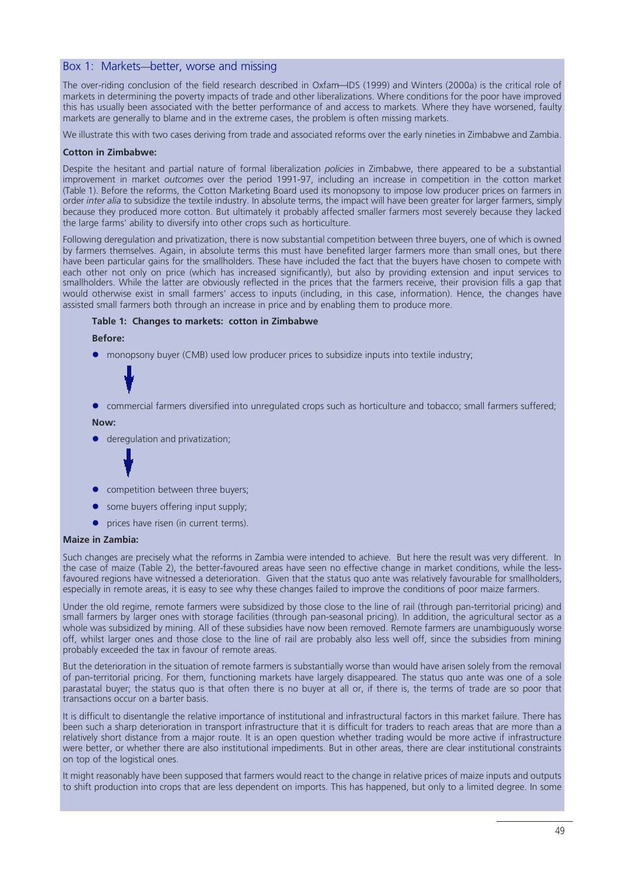## Box 1: Markets—better, worse and missing

The over-riding conclusion of the field research described in Oxfam—IDS (1999) and Winters (2000a) is the critical role of markets in determining the poverty impacts of trade and other liberalizations. Where conditions for the poor have improved this has usually been associated with the better performance of and access to markets. Where they have worsened, faulty markets are generally to blame and in the extreme cases, the problem is often missing markets.

We illustrate this with two cases deriving from trade and associated reforms over the early nineties in Zimbabwe and Zambia.

#### **Cotton in Zimbabwe:**

Despite the hesitant and partial nature of formal liberalization *policies* in Zimbabwe, there appeared to be a substantial improvement in market *outcomes* over the period 1991-97, including an increase in competition in the cotton market (Table 1). Before the reforms, the Cotton Marketing Board used its monopsony to impose low producer prices on farmers in order *inter alia* to subsidize the textile industry. In absolute terms, the impact will have been greater for larger farmers, simply because they produced more cotton. But ultimately it probably affected smaller farmers most severely because they lacked the large farms' ability to diversify into other crops such as horticulture.

Following deregulation and privatization, there is now substantial competition between three buyers, one of which is owned by farmers themselves. Again, in absolute terms this must have benefited larger farmers more than small ones, but there have been particular gains for the smallholders. These have included the fact that the buyers have chosen to compete with each other not only on price (which has increased significantly), but also by providing extension and input services to smallholders. While the latter are obviously reflected in the prices that the farmers receive, their provision fills a gap that would otherwise exist in small farmers' access to inputs (including, in this case, information). Hence, the changes have assisted small farmers both through an increase in price and by enabling them to produce more.

#### **Table 1: Changes to markets: cotton in Zimbabwe**

**Before:**

**•** monopsony buyer (CMB) used low producer prices to subsidize inputs into textile industry;

• commercial farmers diversified into unregulated crops such as horticulture and tobacco; small farmers suffered;

**Now:**

- deregulation and privatization;
- **•** competition between three buyers;
- $\bullet$  some buyers offering input supply;
- **•** prices have risen (in current terms).

### **Maize in Zambia:**

Such changes are precisely what the reforms in Zambia were intended to achieve. But here the result was very different. In the case of maize (Table 2), the better-favoured areas have seen no effective change in market conditions, while the lessfavoured regions have witnessed a deterioration. Given that the status quo ante was relatively favourable for smallholders, especially in remote areas, it is easy to see why these changes failed to improve the conditions of poor maize farmers.

Under the old regime, remote farmers were subsidized by those close to the line of rail (through pan-territorial pricing) and small farmers by larger ones with storage facilities (through pan-seasonal pricing). In addition, the agricultural sector as a whole was subsidized by mining. All of these subsidies have now been removed. Remote farmers are unambiguously worse off, whilst larger ones and those close to the line of rail are probably also less well off, since the subsidies from mining probably exceeded the tax in favour of remote areas.

But the deterioration in the situation of remote farmers is substantially worse than would have arisen solely from the removal of pan-territorial pricing. For them, functioning markets have largely disappeared. The status quo ante was one of a sole parastatal buyer; the status quo is that often there is no buyer at all or, if there is, the terms of trade are so poor that transactions occur on a barter basis.

It is difficult to disentangle the relative importance of institutional and infrastructural factors in this market failure. There has been such a sharp deterioration in transport infrastructure that it is difficult for traders to reach areas that are more than a relatively short distance from a major route. It is an open question whether trading would be more active if infrastructure were better, or whether there are also institutional impediments. But in other areas, there are clear institutional constraints on top of the logistical ones.

It might reasonably have been supposed that farmers would react to the change in relative prices of maize inputs and outputs to shift production into crops that are less dependent on imports. This has happened, but only to a limited degree. In some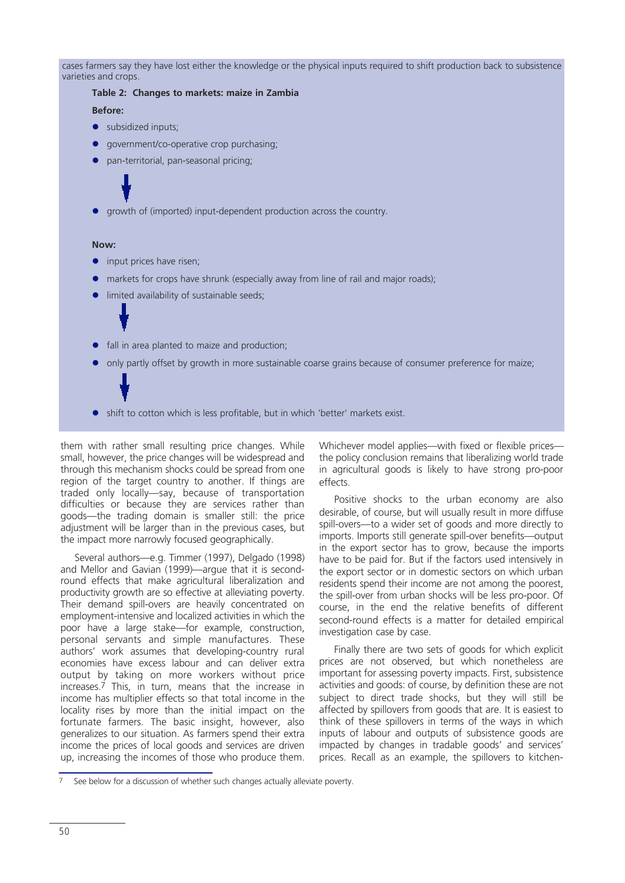cases farmers say they have lost either the knowledge or the physical inputs required to shift production back to subsistence varieties and crops.

### **Table 2: Changes to markets: maize in Zambia**

### **Before:**

- $\bullet$  subsidized inputs:
- **•** government/co-operative crop purchasing;
- pan-territorial, pan-seasonal pricing;
- **•** growth of (imported) input-dependent production across the country.

### **Now:**

- $\bullet$  input prices have risen;
- **•** markets for crops have shrunk (especially away from line of rail and major roads);
- $\bullet$  limited availability of sustainable seeds;
- fall in area planted to maize and production;
- only partly offset by growth in more sustainable coarse grains because of consumer preference for maize;
- **•** shift to cotton which is less profitable, but in which 'better' markets exist.

them with rather small resulting price changes. While small, however, the price changes will be widespread and through this mechanism shocks could be spread from one region of the target country to another. If things are traded only locally—say, because of transportation difficulties or because they are services rather than goods—the trading domain is smaller still: the price adjustment will be larger than in the previous cases, but the impact more narrowly focused geographically.

Several authors—e.g. Timmer (1997), Delgado (1998) and Mellor and Gavian (1999)—argue that it is secondround effects that make agricultural liberalization and productivity growth are so effective at alleviating poverty. Their demand spill-overs are heavily concentrated on employment-intensive and localized activities in which the poor have a large stake—for example, construction, personal servants and simple manufactures. These authors' work assumes that developing-country rural economies have excess labour and can deliver extra output by taking on more workers without price increases.7 This, in turn, means that the increase in income has multiplier effects so that total income in the locality rises by more than the initial impact on the fortunate farmers. The basic insight, however, also generalizes to our situation. As farmers spend their extra income the prices of local goods and services are driven up, increasing the incomes of those who produce them. Whichever model applies—with fixed or flexible prices the policy conclusion remains that liberalizing world trade in agricultural goods is likely to have strong pro-poor effects.

Positive shocks to the urban economy are also desirable, of course, but will usually result in more diffuse spill-overs—to a wider set of goods and more directly to imports. Imports still generate spill-over benefits—output in the export sector has to grow, because the imports have to be paid for. But if the factors used intensively in the export sector or in domestic sectors on which urban residents spend their income are not among the poorest, the spill-over from urban shocks will be less pro-poor. Of course, in the end the relative benefits of different second-round effects is a matter for detailed empirical investigation case by case.

Finally there are two sets of goods for which explicit prices are not observed, but which nonetheless are important for assessing poverty impacts. First, subsistence activities and goods: of course, by definition these are not subject to direct trade shocks, but they will still be affected by spillovers from goods that are. It is easiest to think of these spillovers in terms of the ways in which inputs of labour and outputs of subsistence goods are impacted by changes in tradable goods' and services' prices. Recall as an example, the spillovers to kitchen-

<sup>7</sup> See below for a discussion of whether such changes actually alleviate poverty.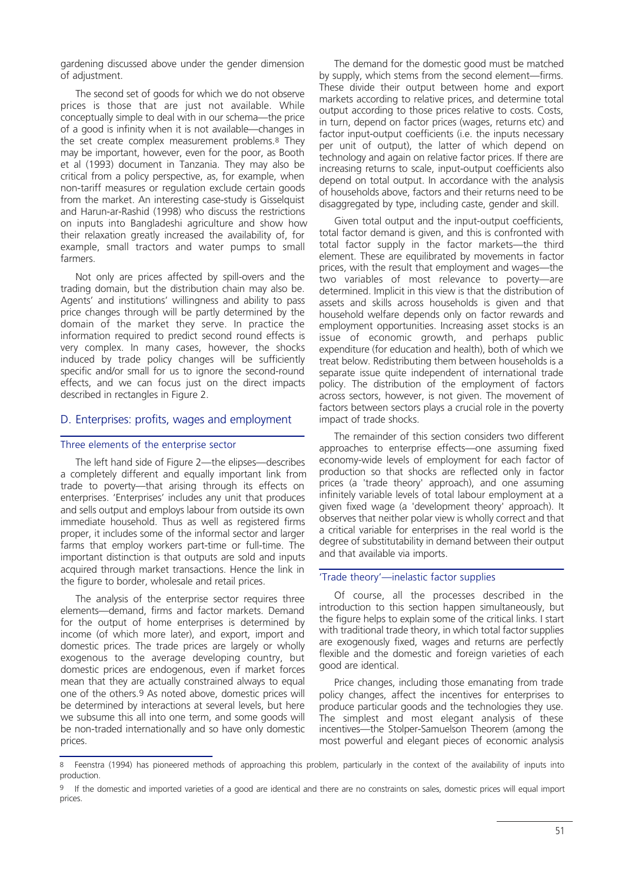gardening discussed above under the gender dimension of adjustment.

The second set of goods for which we do not observe prices is those that are just not available. While conceptually simple to deal with in our schema—the price of a good is infinity when it is not available—changes in the set create complex measurement problems.<sup>8</sup> They may be important, however, even for the poor, as Booth et al (1993) document in Tanzania. They may also be critical from a policy perspective, as, for example, when non-tariff measures or regulation exclude certain goods from the market. An interesting case-study is Gisselquist and Harun-ar-Rashid (1998) who discuss the restrictions on inputs into Bangladeshi agriculture and show how their relaxation greatly increased the availability of, for example, small tractors and water pumps to small farmers.

Not only are prices affected by spill-overs and the trading domain, but the distribution chain may also be. Agents' and institutions' willingness and ability to pass price changes through will be partly determined by the domain of the market they serve. In practice the information required to predict second round effects is very complex. In many cases, however, the shocks induced by trade policy changes will be sufficiently specific and/or small for us to ignore the second-round effects, and we can focus just on the direct impacts described in rectangles in Figure 2.

### D. Enterprises: profits, wages and employment

### Three elements of the enterprise sector

The left hand side of Figure 2—the elipses—describes a completely different and equally important link from trade to poverty—that arising through its effects on enterprises. 'Enterprises' includes any unit that produces and sells output and employs labour from outside its own immediate household. Thus as well as registered firms proper, it includes some of the informal sector and larger farms that employ workers part-time or full-time. The important distinction is that outputs are sold and inputs acquired through market transactions. Hence the link in the figure to border, wholesale and retail prices.

The analysis of the enterprise sector requires three elements—demand, firms and factor markets. Demand for the output of home enterprises is determined by income (of which more later), and export, import and domestic prices. The trade prices are largely or wholly exogenous to the average developing country, but domestic prices are endogenous, even if market forces mean that they are actually constrained always to equal one of the others.9 As noted above, domestic prices will be determined by interactions at several levels, but here we subsume this all into one term, and some goods will be non-traded internationally and so have only domestic prices.

The demand for the domestic good must be matched by supply, which stems from the second element—firms. These divide their output between home and export markets according to relative prices, and determine total output according to those prices relative to costs. Costs, in turn, depend on factor prices (wages, returns etc) and factor input-output coefficients (i.e. the inputs necessary per unit of output), the latter of which depend on technology and again on relative factor prices. If there are increasing returns to scale, input-output coefficients also depend on total output. In accordance with the analysis of households above, factors and their returns need to be disaggregated by type, including caste, gender and skill.

Given total output and the input-output coefficients, total factor demand is given, and this is confronted with total factor supply in the factor markets—the third element. These are equilibrated by movements in factor prices, with the result that employment and wages—the two variables of most relevance to poverty—are determined. Implicit in this view is that the distribution of assets and skills across households is given and that household welfare depends only on factor rewards and employment opportunities. Increasing asset stocks is an issue of economic growth, and perhaps public expenditure (for education and health), both of which we treat below. Redistributing them between households is a separate issue quite independent of international trade policy. The distribution of the employment of factors across sectors, however, is not given. The movement of factors between sectors plays a crucial role in the poverty impact of trade shocks.

The remainder of this section considers two different approaches to enterprise effects—one assuming fixed economy-wide levels of employment for each factor of production so that shocks are reflected only in factor prices (a 'trade theory' approach), and one assuming infinitely variable levels of total labour employment at a given fixed wage (a 'development theory' approach). It observes that neither polar view is wholly correct and that a critical variable for enterprises in the real world is the degree of substitutability in demand between their output and that available via imports.

### 'Trade theory'—inelastic factor supplies

Of course, all the processes described in the introduction to this section happen simultaneously, but the figure helps to explain some of the critical links. I start with traditional trade theory, in which total factor supplies are exogenously fixed, wages and returns are perfectly flexible and the domestic and foreign varieties of each good are identical.

Price changes, including those emanating from trade policy changes, affect the incentives for enterprises to produce particular goods and the technologies they use. The simplest and most elegant analysis of these incentives—the Stolper-Samuelson Theorem (among the most powerful and elegant pieces of economic analysis

Feenstra (1994) has pioneered methods of approaching this problem, particularly in the context of the availability of inputs into production.

<sup>9</sup> If the domestic and imported varieties of a good are identical and there are no constraints on sales, domestic prices will equal import prices.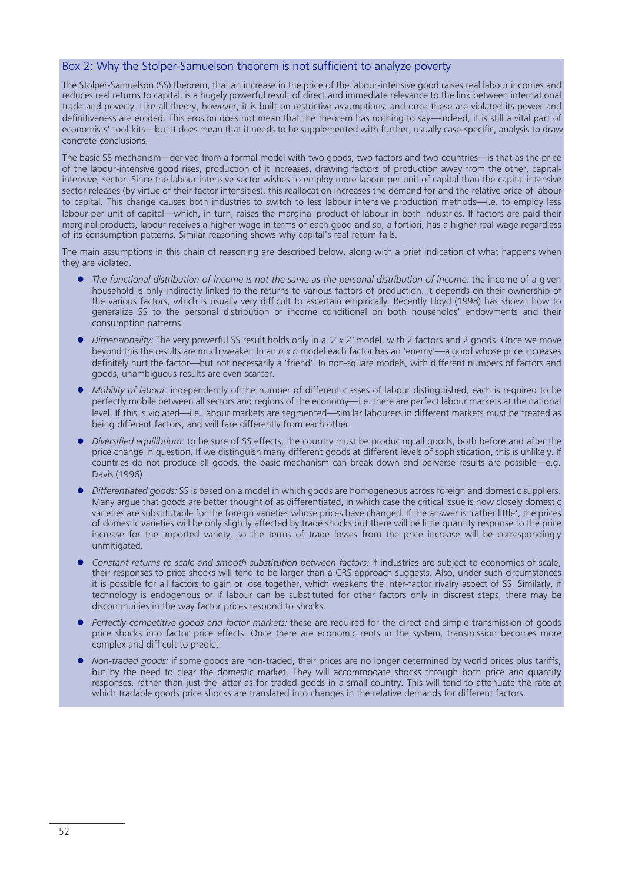## Box 2: Why the Stolper-Samuelson theorem is not sufficient to analyze poverty

The Stolper-Samuelson (SS) theorem, that an increase in the price of the labour-intensive good raises real labour incomes and reduces real returns to capital, is a hugely powerful result of direct and immediate relevance to the link between international trade and poverty. Like all theory, however, it is built on restrictive assumptions, and once these are violated its power and definitiveness are eroded. This erosion does not mean that the theorem has nothing to say—indeed, it is still a vital part of economists' tool-kits—but it does mean that it needs to be supplemented with further, usually case-specific, analysis to draw concrete conclusions.

The basic SS mechanism—derived from a formal model with two goods, two factors and two countries—is that as the price of the labour-intensive good rises, production of it increases, drawing factors of production away from the other, capitalintensive, sector. Since the labour intensive sector wishes to employ more labour per unit of capital than the capital intensive sector releases (by virtue of their factor intensities), this reallocation increases the demand for and the relative price of labour to capital. This change causes both industries to switch to less labour intensive production methods—i.e. to employ less labour per unit of capital—which, in turn, raises the marginal product of labour in both industries. If factors are paid their marginal products, labour receives a higher wage in terms of each good and so, a fortiori, has a higher real wage regardless of its consumption patterns. Similar reasoning shows why capital's real return falls.

The main assumptions in this chain of reasoning are described below, along with a brief indication of what happens when they are violated.

- l *The functional distribution of income is not the same as the personal distribution of income:* the income of a given household is only indirectly linked to the returns to various factors of production. It depends on their ownership of the various factors, which is usually very difficult to ascertain empirically. Recently Lloyd (1998) has shown how to generalize SS to the personal distribution of income conditional on both households' endowments and their consumption patterns.
- *Dimensionality:* The very powerful SS result holds only in a '2 x 2' model, with 2 factors and 2 goods. Once we move beyond this the results are much weaker. In an *n x n* model each factor has an 'enemy'—a good whose price increases definitely hurt the factor—but not necessarily a 'friend'. In non-square models, with different numbers of factors and goods, unambiguous results are even scarcer.
- *Mobility of labour:* independently of the number of different classes of labour distinguished, each is required to be perfectly mobile between all sectors and regions of the economy—i.e. there are perfect labour markets at the national level. If this is violated—i.e. labour markets are segmented—similar labourers in different markets must be treated as being different factors, and will fare differently from each other.
- **·** Diversified equilibrium: to be sure of SS effects, the country must be producing all goods, both before and after the price change in question. If we distinguish many different goods at different levels of sophistication, this is unlikely. If countries do not produce all goods, the basic mechanism can break down and perverse results are possible—e.g. Davis (1996).
- l *Differentiated goods:* SS is based on a model in which goods are homogeneous across foreign and domestic suppliers. Many argue that goods are better thought of as differentiated, in which case the critical issue is how closely domestic varieties are substitutable for the foreign varieties whose prices have changed. If the answer is 'rather little', the prices of domestic varieties will be only slightly affected by trade shocks but there will be little quantity response to the price increase for the imported variety, so the terms of trade losses from the price increase will be correspondingly unmitigated.
- l *Constant returns to scale and smooth substitution between factors:* If industries are subject to economies of scale, their responses to price shocks will tend to be larger than a CRS approach suggests. Also, under such circumstances it is possible for all factors to gain or lose together, which weakens the inter-factor rivalry aspect of SS. Similarly, if technology is endogenous or if labour can be substituted for other factors only in discreet steps, there may be discontinuities in the way factor prices respond to shocks.
- l *Perfectly competitive goods and factor markets:* these are required for the direct and simple transmission of goods price shocks into factor price effects. Once there are economic rents in the system, transmission becomes more complex and difficult to predict.
- l *Non-traded goods:* if some goods are non-traded, their prices are no longer determined by world prices plus tariffs, but by the need to clear the domestic market. They will accommodate shocks through both price and quantity responses, rather than just the latter as for traded goods in a small country. This will tend to attenuate the rate at which tradable goods price shocks are translated into changes in the relative demands for different factors.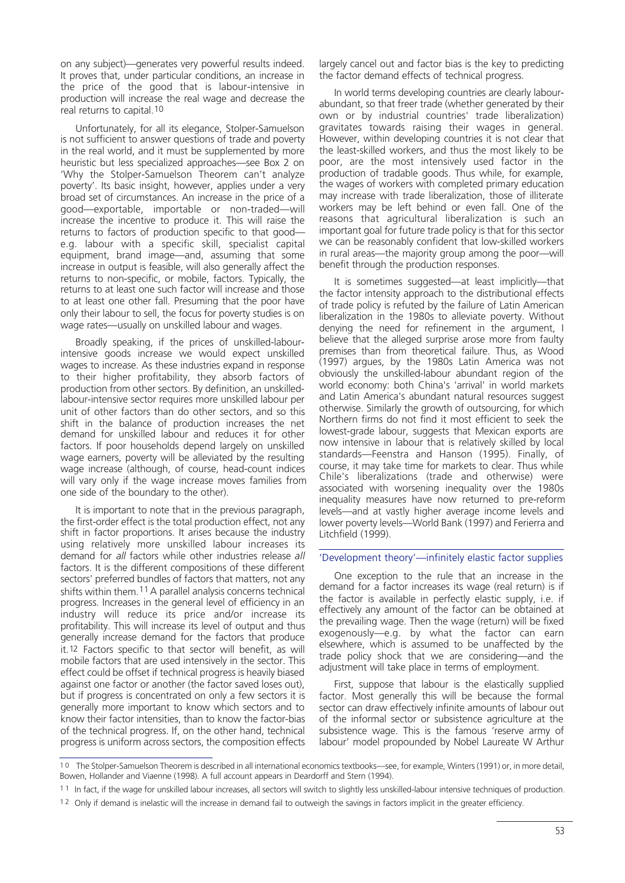on any subject)—generates very powerful results indeed. It proves that, under particular conditions, an increase in the price of the good that is labour-intensive in production will increase the real wage and decrease the real returns to capital.10

Unfortunately, for all its elegance, Stolper-Samuelson is not sufficient to answer questions of trade and poverty in the real world, and it must be supplemented by more heuristic but less specialized approaches—see Box 2 on 'Why the Stolper-Samuelson Theorem can't analyze poverty'. Its basic insight, however, applies under a very broad set of circumstances. An increase in the price of a good—exportable, importable or non-traded—will increase the incentive to produce it. This will raise the returns to factors of production specific to that good e.g. labour with a specific skill, specialist capital equipment, brand image—and, assuming that some increase in output is feasible, will also generally affect the returns to non-specific, or mobile, factors. Typically, the returns to at least one such factor will increase and those to at least one other fall. Presuming that the poor have only their labour to sell, the focus for poverty studies is on wage rates—usually on unskilled labour and wages.

Broadly speaking, if the prices of unskilled-labourintensive goods increase we would expect unskilled wages to increase. As these industries expand in response to their higher profitability, they absorb factors of production from other sectors. By definition, an unskilledlabour-intensive sector requires more unskilled labour per unit of other factors than do other sectors, and so this shift in the balance of production increases the net demand for unskilled labour and reduces it for other factors. If poor households depend largely on unskilled wage earners, poverty will be alleviated by the resulting wage increase (although, of course, head-count indices will vary only if the wage increase moves families from one side of the boundary to the other).

It is important to note that in the previous paragraph, the first-order effect is the total production effect, not any shift in factor proportions. It arises because the industry using relatively more unskilled labour increases its demand for *all* factors while other industries release *all* factors. It is the different compositions of these different sectors' preferred bundles of factors that matters, not any shifts within them.<sup>11</sup> A parallel analysis concerns technical progress. Increases in the general level of efficiency in an industry will reduce its price and/or increase its profitability. This will increase its level of output and thus generally increase demand for the factors that produce it.12 Factors specific to that sector will benefit, as will mobile factors that are used intensively in the sector. This effect could be offset if technical progress is heavily biased against one factor or another (the factor saved loses out), but if progress is concentrated on only a few sectors it is generally more important to know which sectors and to know their factor intensities, than to know the factor-bias of the technical progress. If, on the other hand, technical progress is uniform across sectors, the composition effects

largely cancel out and factor bias is the key to predicting the factor demand effects of technical progress.

In world terms developing countries are clearly labourabundant, so that freer trade (whether generated by their own or by industrial countries' trade liberalization) gravitates towards raising their wages in general. However, within developing countries it is not clear that the least-skilled workers, and thus the most likely to be poor, are the most intensively used factor in the production of tradable goods. Thus while, for example, the wages of workers with completed primary education may increase with trade liberalization, those of illiterate workers may be left behind or even fall. One of the reasons that agricultural liberalization is such an important goal for future trade policy is that for this sector we can be reasonably confident that low-skilled workers in rural areas—the majority group among the poor—will benefit through the production responses.

It is sometimes suggested—at least implicitly—that the factor intensity approach to the distributional effects of trade policy is refuted by the failure of Latin American liberalization in the 1980s to alleviate poverty. Without denying the need for refinement in the argument, I believe that the alleged surprise arose more from faulty premises than from theoretical failure. Thus, as Wood (1997) argues, by the 1980s Latin America was not obviously the unskilled-labour abundant region of the world economy: both China's 'arrival' in world markets and Latin America's abundant natural resources suggest otherwise. Similarly the growth of outsourcing, for which Northern firms do not find it most efficient to seek the lowest-grade labour, suggests that Mexican exports are now intensive in labour that is relatively skilled by local standards—Feenstra and Hanson (1995). Finally, of course, it may take time for markets to clear. Thus while Chile's liberalizations (trade and otherwise) were associated with worsening inequality over the 1980s inequality measures have now returned to pre-reform levels—and at vastly higher average income levels and lower poverty levels—World Bank (1997) and Ferierra and Litchfield (1999).

### 'Development theory'—infinitely elastic factor supplies

One exception to the rule that an increase in the demand for a factor increases its wage (real return) is if the factor is available in perfectly elastic supply, i.e. if effectively any amount of the factor can be obtained at the prevailing wage. Then the wage (return) will be fixed exogenously—e.g. by what the factor can earn elsewhere, which is assumed to be unaffected by the trade policy shock that we are considering—and the adjustment will take place in terms of employment.

First, suppose that labour is the elastically supplied factor. Most generally this will be because the formal sector can draw effectively infinite amounts of labour out of the informal sector or subsistence agriculture at the subsistence wage. This is the famous 'reserve army of labour' model propounded by Nobel Laureate W Arthur

<sup>1 0</sup> The Stolper-Samuelson Theorem is described in all international economics textbooks—see, for example, Winters (1991) or, in more detail, Bowen, Hollander and Viaenne (1998). A full account appears in Deardorff and Stern (1994).

<sup>11</sup> In fact, if the wage for unskilled labour increases, all sectors will switch to slightly less unskilled-labour intensive techniques of production.

<sup>1 2</sup> Only if demand is inelastic will the increase in demand fail to outweigh the savings in factors implicit in the greater efficiency.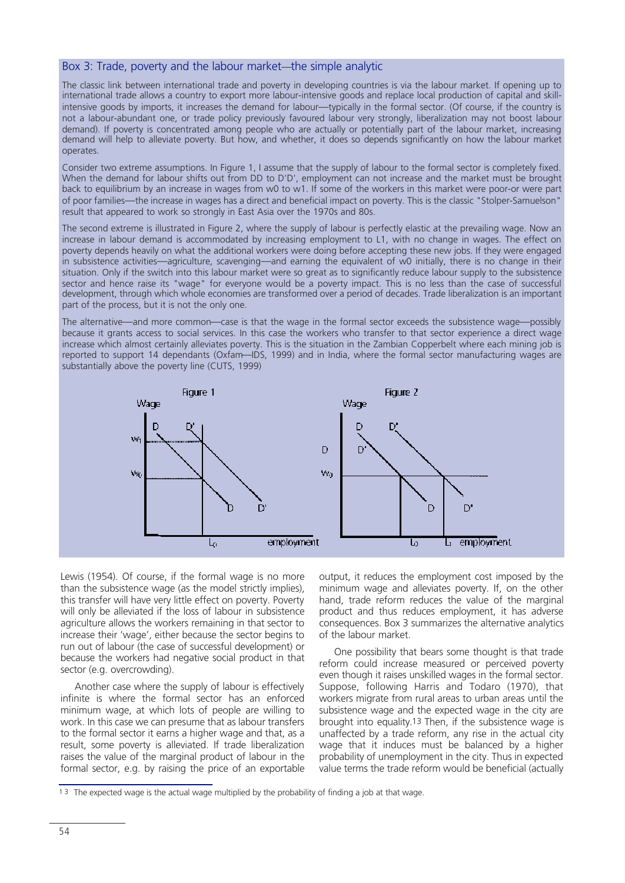## Box 3: Trade, poverty and the labour market—the simple analytic

The classic link between international trade and poverty in developing countries is via the labour market. If opening up to international trade allows a country to export more labour-intensive goods and replace local production of capital and skillintensive goods by imports, it increases the demand for labour—typically in the formal sector. (Of course, if the country is not a labour-abundant one, or trade policy previously favoured labour very strongly, liberalization may not boost labour demand). If poverty is concentrated among people who are actually or potentially part of the labour market, increasing demand will help to alleviate poverty. But how, and whether, it does so depends significantly on how the labour market operates.

Consider two extreme assumptions. In Figure 1, I assume that the supply of labour to the formal sector is completely fixed. When the demand for labour shifts out from DD to D'D', employment can not increase and the market must be brought back to equilibrium by an increase in wages from w0 to w1. If some of the workers in this market were poor-or were part of poor families—the increase in wages has a direct and beneficial impact on poverty. This is the classic "Stolper-Samuelson" result that appeared to work so strongly in East Asia over the 1970s and 80s.

The second extreme is illustrated in Figure 2, where the supply of labour is perfectly elastic at the prevailing wage. Now an increase in labour demand is accommodated by increasing employment to L1, with no change in wages. The effect on poverty depends heavily on what the additional workers were doing before accepting these new jobs. If they were engaged in subsistence activities—agriculture, scavenging—and earning the equivalent of w0 initially, there is no change in their situation. Only if the switch into this labour market were so great as to significantly reduce labour supply to the subsistence sector and hence raise its "wage" for everyone would be a poverty impact. This is no less than the case of successful development, through which whole economies are transformed over a period of decades. Trade liberalization is an important part of the process, but it is not the only one.

The alternative—and more common—case is that the wage in the formal sector exceeds the subsistence wage—possibly because it grants access to social services. In this case the workers who transfer to that sector experience a direct wage increase which almost certainly alleviates poverty. This is the situation in the Zambian Copperbelt where each mining job is reported to support 14 dependants (Oxfam—IDS, 1999) and in India, where the formal sector manufacturing wages are substantially above the poverty line (CUTS, 1999)



Lewis (1954). Of course, if the formal wage is no more than the subsistence wage (as the model strictly implies), this transfer will have very little effect on poverty. Poverty will only be alleviated if the loss of labour in subsistence agriculture allows the workers remaining in that sector to increase their 'wage', either because the sector begins to run out of labour (the case of successful development) or because the workers had negative social product in that sector (e.g. overcrowding).

Another case where the supply of labour is effectively infinite is where the formal sector has an enforced minimum wage, at which lots of people are willing to work. In this case we can presume that as labour transfers to the formal sector it earns a higher wage and that, as a result, some poverty is alleviated. If trade liberalization raises the value of the marginal product of labour in the formal sector, e.g. by raising the price of an exportable output, it reduces the employment cost imposed by the minimum wage and alleviates poverty. If, on the other hand, trade reform reduces the value of the marginal product and thus reduces employment, it has adverse consequences. Box 3 summarizes the alternative analytics of the labour market.

One possibility that bears some thought is that trade reform could increase measured or perceived poverty even though it raises unskilled wages in the formal sector. Suppose, following Harris and Todaro (1970), that workers migrate from rural areas to urban areas until the subsistence wage and the expected wage in the city are brought into equality.13 Then, if the subsistence wage is unaffected by a trade reform, any rise in the actual city wage that it induces must be balanced by a higher probability of unemployment in the city. Thus in expected value terms the trade reform would be beneficial (actually

<sup>1 3</sup> The expected wage is the actual wage multiplied by the probability of finding a job at that wage.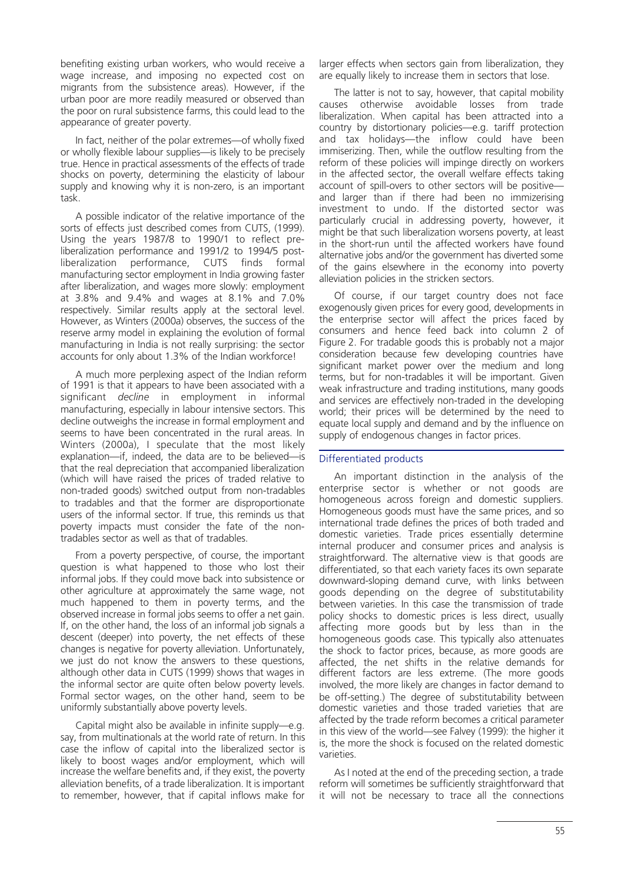benefiting existing urban workers, who would receive a wage increase, and imposing no expected cost on migrants from the subsistence areas). However, if the urban poor are more readily measured or observed than the poor on rural subsistence farms, this could lead to the appearance of greater poverty.

In fact, neither of the polar extremes—of wholly fixed or wholly flexible labour supplies—is likely to be precisely true. Hence in practical assessments of the effects of trade shocks on poverty, determining the elasticity of labour supply and knowing why it is non-zero, is an important task.

A possible indicator of the relative importance of the sorts of effects just described comes from CUTS, (1999). Using the years 1987/8 to 1990/1 to reflect preliberalization performance and 1991/2 to 1994/5 postliberalization performance, CUTS finds formal manufacturing sector employment in India growing faster after liberalization, and wages more slowly: employment at 3.8% and 9.4% and wages at 8.1% and 7.0% respectively. Similar results apply at the sectoral level. However, as Winters (2000a) observes, the success of the reserve army model in explaining the evolution of formal manufacturing in India is not really surprising: the sector accounts for only about 1.3% of the Indian workforce!

A much more perplexing aspect of the Indian reform of 1991 is that it appears to have been associated with a significant *decline* in employment in informal manufacturing, especially in labour intensive sectors. This decline outweighs the increase in formal employment and seems to have been concentrated in the rural areas. In Winters (2000a), I speculate that the most likely explanation—if, indeed, the data are to be believed—is that the real depreciation that accompanied liberalization (which will have raised the prices of traded relative to non-traded goods) switched output from non-tradables to tradables and that the former are disproportionate users of the informal sector. If true, this reminds us that poverty impacts must consider the fate of the nontradables sector as well as that of tradables.

From a poverty perspective, of course, the important question is what happened to those who lost their informal jobs. If they could move back into subsistence or other agriculture at approximately the same wage, not much happened to them in poverty terms, and the observed increase in formal jobs seems to offer a net gain. If, on the other hand, the loss of an informal job signals a descent (deeper) into poverty, the net effects of these changes is negative for poverty alleviation. Unfortunately, we just do not know the answers to these questions, although other data in CUTS (1999) shows that wages in the informal sector are quite often below poverty levels. Formal sector wages, on the other hand, seem to be uniformly substantially above poverty levels.

Capital might also be available in infinite supply—e.g. say, from multinationals at the world rate of return. In this case the inflow of capital into the liberalized sector is likely to boost wages and/or employment, which will increase the welfare benefits and, if they exist, the poverty alleviation benefits, of a trade liberalization. It is important to remember, however, that if capital inflows make for

larger effects when sectors gain from liberalization, they are equally likely to increase them in sectors that lose.

The latter is not to say, however, that capital mobility causes otherwise avoidable losses from trade liberalization. When capital has been attracted into a country by distortionary policies—e.g. tariff protection and tax holidays—the inflow could have been immiserizing. Then, while the outflow resulting from the reform of these policies will impinge directly on workers in the affected sector, the overall welfare effects taking account of spill-overs to other sectors will be positive and larger than if there had been no immizerising investment to undo. If the distorted sector was particularly crucial in addressing poverty, however, it might be that such liberalization worsens poverty, at least in the short-run until the affected workers have found alternative jobs and/or the government has diverted some of the gains elsewhere in the economy into poverty alleviation policies in the stricken sectors.

Of course, if our target country does not face exogenously given prices for every good, developments in the enterprise sector will affect the prices faced by consumers and hence feed back into column 2 of Figure 2. For tradable goods this is probably not a major consideration because few developing countries have significant market power over the medium and long terms, but for non-tradables it will be important. Given weak infrastructure and trading institutions, many goods and services are effectively non-traded in the developing world; their prices will be determined by the need to equate local supply and demand and by the influence on supply of endogenous changes in factor prices.

### Differentiated products

An important distinction in the analysis of the enterprise sector is whether or not goods are homogeneous across foreign and domestic suppliers. Homogeneous goods must have the same prices, and so international trade defines the prices of both traded and domestic varieties. Trade prices essentially determine internal producer and consumer prices and analysis is straightforward. The alternative view is that goods are differentiated, so that each variety faces its own separate downward-sloping demand curve, with links between goods depending on the degree of substitutability between varieties. In this case the transmission of trade policy shocks to domestic prices is less direct, usually affecting more goods but by less than in the homogeneous goods case. This typically also attenuates the shock to factor prices, because, as more goods are affected, the net shifts in the relative demands for different factors are less extreme. (The more goods involved, the more likely are changes in factor demand to be off-setting.) The degree of substitutability between domestic varieties and those traded varieties that are affected by the trade reform becomes a critical parameter in this view of the world—see Falvey (1999): the higher it is, the more the shock is focused on the related domestic varieties.

As I noted at the end of the preceding section, a trade reform will sometimes be sufficiently straightforward that it will not be necessary to trace all the connections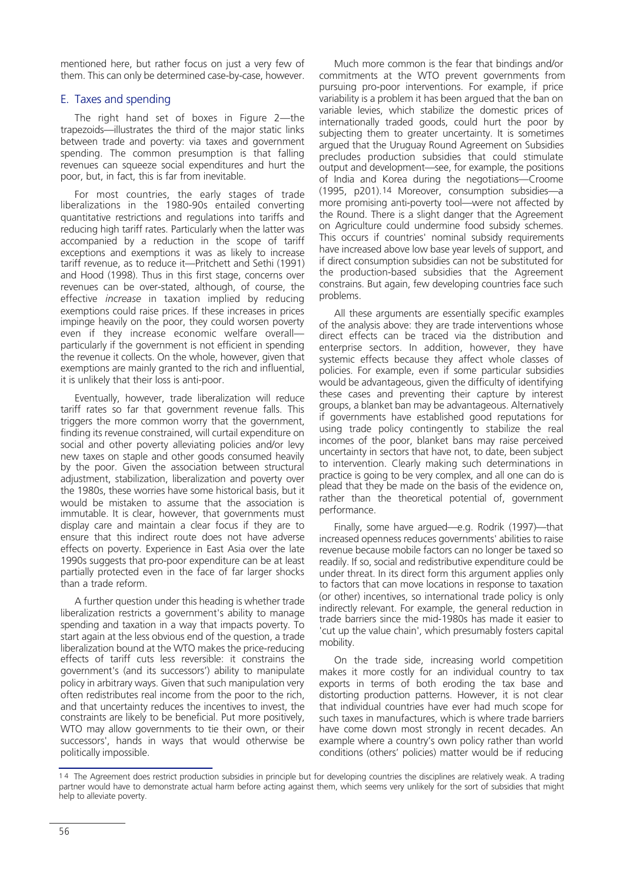mentioned here, but rather focus on just a very few of them. This can only be determined case-by-case, however.

## E. Taxes and spending

The right hand set of boxes in Figure 2—the trapezoids—illustrates the third of the major static links between trade and poverty: via taxes and government spending. The common presumption is that falling revenues can squeeze social expenditures and hurt the poor, but, in fact, this is far from inevitable.

For most countries, the early stages of trade liberalizations in the 1980-90s entailed converting quantitative restrictions and regulations into tariffs and reducing high tariff rates. Particularly when the latter was accompanied by a reduction in the scope of tariff exceptions and exemptions it was as likely to increase tariff revenue, as to reduce it—Pritchett and Sethi (1991) and Hood (1998). Thus in this first stage, concerns over revenues can be over-stated, although, of course, the effective *increase* in taxation implied by reducing exemptions could raise prices. If these increases in prices impinge heavily on the poor, they could worsen poverty even if they increase economic welfare overall particularly if the government is not efficient in spending the revenue it collects. On the whole, however, given that exemptions are mainly granted to the rich and influential, it is unlikely that their loss is anti-poor.

Eventually, however, trade liberalization will reduce tariff rates so far that government revenue falls. This triggers the more common worry that the government, finding its revenue constrained, will curtail expenditure on social and other poverty alleviating policies and/or levy new taxes on staple and other goods consumed heavily by the poor. Given the association between structural adjustment, stabilization, liberalization and poverty over the 1980s, these worries have some historical basis, but it would be mistaken to assume that the association is immutable. It is clear, however, that governments must display care and maintain a clear focus if they are to ensure that this indirect route does not have adverse effects on poverty. Experience in East Asia over the late 1990s suggests that pro-poor expenditure can be at least partially protected even in the face of far larger shocks than a trade reform.

A further question under this heading is whether trade liberalization restricts a government's ability to manage spending and taxation in a way that impacts poverty. To start again at the less obvious end of the question, a trade liberalization bound at the WTO makes the price-reducing effects of tariff cuts less reversible: it constrains the government's (and its successors') ability to manipulate policy in arbitrary ways. Given that such manipulation very often redistributes real income from the poor to the rich, and that uncertainty reduces the incentives to invest, the constraints are likely to be beneficial. Put more positively, WTO may allow governments to tie their own, or their successors', hands in ways that would otherwise be politically impossible.

Much more common is the fear that bindings and/or commitments at the WTO prevent governments from pursuing pro-poor interventions. For example, if price variability is a problem it has been argued that the ban on variable levies, which stabilize the domestic prices of internationally traded goods, could hurt the poor by subjecting them to greater uncertainty. It is sometimes argued that the Uruguay Round Agreement on Subsidies precludes production subsidies that could stimulate output and development—see, for example, the positions of India and Korea during the negotiations—Croome (1995, p201).14 Moreover, consumption subsidies—a more promising anti-poverty tool—were not affected by the Round. There is a slight danger that the Agreement on Agriculture could undermine food subsidy schemes. This occurs if countries' nominal subsidy requirements have increased above low base year levels of support, and if direct consumption subsidies can not be substituted for the production-based subsidies that the Agreement constrains. But again, few developing countries face such problems.

All these arguments are essentially specific examples of the analysis above: they are trade interventions whose direct effects can be traced via the distribution and enterprise sectors. In addition, however, they have systemic effects because they affect whole classes of policies. For example, even if some particular subsidies would be advantageous, given the difficulty of identifying these cases and preventing their capture by interest groups, a blanket ban may be advantageous. Alternatively if governments have established good reputations for using trade policy contingently to stabilize the real incomes of the poor, blanket bans may raise perceived uncertainty in sectors that have not, to date, been subject to intervention. Clearly making such determinations in practice is going to be very complex, and all one can do is plead that they be made on the basis of the evidence on, rather than the theoretical potential of, government performance.

Finally, some have argued—e.g. Rodrik (1997)—that increased openness reduces governments' abilities to raise revenue because mobile factors can no longer be taxed so readily. If so, social and redistributive expenditure could be under threat. In its direct form this argument applies only to factors that can move locations in response to taxation (or other) incentives, so international trade policy is only indirectly relevant. For example, the general reduction in trade barriers since the mid-1980s has made it easier to 'cut up the value chain', which presumably fosters capital mobility.

On the trade side, increasing world competition makes it more costly for an individual country to tax exports in terms of both eroding the tax base and distorting production patterns. However, it is not clear that individual countries have ever had much scope for such taxes in manufactures, which is where trade barriers have come down most strongly in recent decades. An example where a country's own policy rather than world conditions (others' policies) matter would be if reducing

<sup>1 4</sup> The Agreement does restrict production subsidies in principle but for developing countries the disciplines are relatively weak. A trading partner would have to demonstrate actual harm before acting against them, which seems very unlikely for the sort of subsidies that might help to alleviate poverty.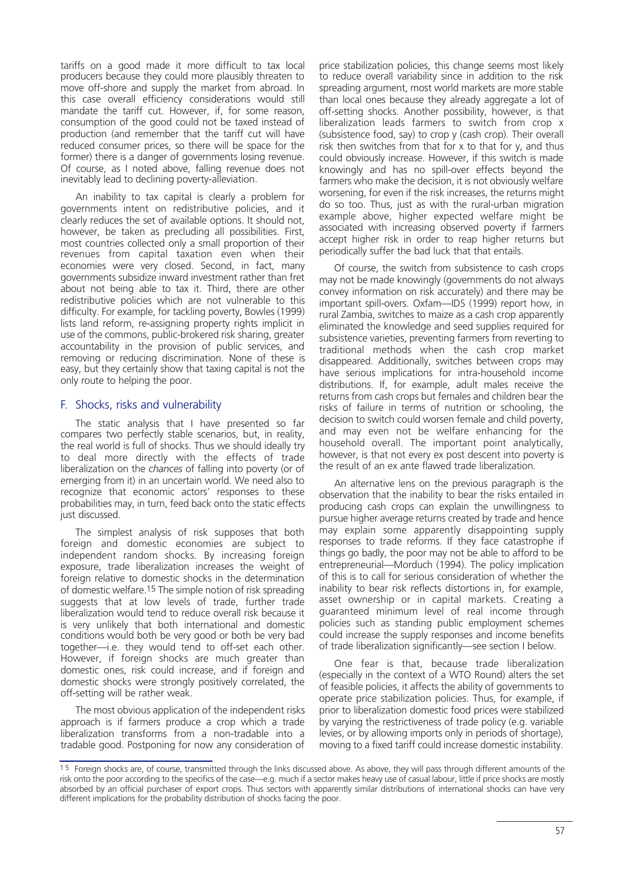tariffs on a good made it more difficult to tax local producers because they could more plausibly threaten to move off-shore and supply the market from abroad. In this case overall efficiency considerations would still mandate the tariff cut. However, if, for some reason, consumption of the good could not be taxed instead of production (and remember that the tariff cut will have reduced consumer prices, so there will be space for the former) there is a danger of governments losing revenue. Of course, as I noted above, falling revenue does not inevitably lead to declining poverty-alleviation.

An inability to tax capital is clearly a problem for governments intent on redistributive policies, and it clearly reduces the set of available options. It should not, however, be taken as precluding all possibilities. First, most countries collected only a small proportion of their revenues from capital taxation even when their economies were very closed. Second, in fact, many governments subsidize inward investment rather than fret about not being able to tax it. Third, there are other redistributive policies which are not vulnerable to this difficulty. For example, for tackling poverty, Bowles (1999) lists land reform, re-assigning property rights implicit in use of the commons, public-brokered risk sharing, greater accountability in the provision of public services, and removing or reducing discrimination. None of these is easy, but they certainly show that taxing capital is not the only route to helping the poor.

## F. Shocks, risks and vulnerability

The static analysis that I have presented so far compares two perfectly stable scenarios, but, in reality, the real world is full of shocks. Thus we should ideally try to deal more directly with the effects of trade liberalization on the *chances* of falling into poverty (or of emerging from it) in an uncertain world. We need also to recognize that economic actors' responses to these probabilities may, in turn, feed back onto the static effects just discussed.

The simplest analysis of risk supposes that both foreign and domestic economies are subject to independent random shocks. By increasing foreign exposure, trade liberalization increases the weight of foreign relative to domestic shocks in the determination of domestic welfare.15 The simple notion of risk spreading suggests that at low levels of trade, further trade liberalization would tend to reduce overall risk because it is very unlikely that both international and domestic conditions would both be very good or both be very bad together—i.e. they would tend to off-set each other. However, if foreign shocks are much greater than domestic ones, risk could increase, and if foreign and domestic shocks were strongly positively correlated, the off-setting will be rather weak.

The most obvious application of the independent risks approach is if farmers produce a crop which a trade liberalization transforms from a non-tradable into a tradable good. Postponing for now any consideration of price stabilization policies, this change seems most likely to reduce overall variability since in addition to the risk spreading argument, most world markets are more stable than local ones because they already aggregate a lot of off-setting shocks. Another possibility, however, is that liberalization leads farmers to switch from crop x (subsistence food, say) to crop y (cash crop). Their overall risk then switches from that for x to that for y, and thus could obviously increase. However, if this switch is made knowingly and has no spill-over effects beyond the farmers who make the decision, it is not obviously welfare worsening, for even if the risk increases, the returns might do so too. Thus, just as with the rural-urban migration example above, higher expected welfare might be associated with increasing observed poverty if farmers accept higher risk in order to reap higher returns but periodically suffer the bad luck that that entails.

Of course, the switch from subsistence to cash crops may not be made knowingly (governments do not always convey information on risk accurately) and there may be important spill-overs. Oxfam—IDS (1999) report how, in rural Zambia, switches to maize as a cash crop apparently eliminated the knowledge and seed supplies required for subsistence varieties, preventing farmers from reverting to traditional methods when the cash crop market disappeared. Additionally, switches between crops may have serious implications for intra-household income distributions. If, for example, adult males receive the returns from cash crops but females and children bear the risks of failure in terms of nutrition or schooling, the decision to switch could worsen female and child poverty, and may even not be welfare enhancing for the household overall. The important point analytically, however, is that not every ex post descent into poverty is the result of an ex ante flawed trade liberalization.

An alternative lens on the previous paragraph is the observation that the inability to bear the risks entailed in producing cash crops can explain the unwillingness to pursue higher average returns created by trade and hence may explain some apparently disappointing supply responses to trade reforms. If they face catastrophe if things go badly, the poor may not be able to afford to be entrepreneurial—Morduch (1994). The policy implication of this is to call for serious consideration of whether the inability to bear risk reflects distortions in, for example, asset ownership or in capital markets. Creating a guaranteed minimum level of real income through policies such as standing public employment schemes could increase the supply responses and income benefits of trade liberalization significantly—see section I below.

One fear is that, because trade liberalization (especially in the context of a WTO Round) alters the set of feasible policies, it affects the ability of governments to operate price stabilization policies. Thus, for example, if prior to liberalization domestic food prices were stabilized by varying the restrictiveness of trade policy (e.g. variable levies, or by allowing imports only in periods of shortage), moving to a fixed tariff could increase domestic instability.

<sup>1 5</sup> Foreign shocks are, of course, transmitted through the links discussed above. As above, they will pass through different amounts of the risk onto the poor according to the specifics of the case—e.g. much if a sector makes heavy use of casual labour, little if price shocks are mostly absorbed by an official purchaser of export crops. Thus sectors with apparently similar distributions of international shocks can have very different implications for the probability distribution of shocks facing the poor.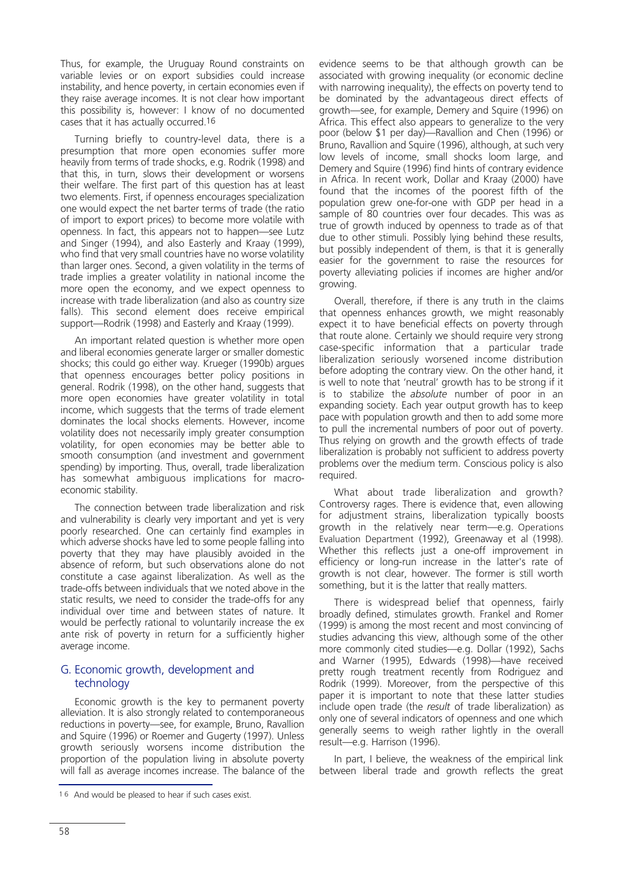Thus, for example, the Uruguay Round constraints on variable levies or on export subsidies could increase instability, and hence poverty, in certain economies even if they raise average incomes. It is not clear how important this possibility is, however: I know of no documented cases that it has actually occurred.16

Turning briefly to country-level data, there is a presumption that more open economies suffer more heavily from terms of trade shocks, e.g. Rodrik (1998) and that this, in turn, slows their development or worsens their welfare. The first part of this question has at least two elements. First, if openness encourages specialization one would expect the net barter terms of trade (the ratio of import to export prices) to become more volatile with openness. In fact, this appears not to happen—see Lutz and Singer (1994), and also Easterly and Kraay (1999), who find that very small countries have no worse volatility than larger ones. Second, a given volatility in the terms of trade implies a greater volatility in national income the more open the economy, and we expect openness to increase with trade liberalization (and also as country size falls). This second element does receive empirical support—Rodrik (1998) and Easterly and Kraay (1999).

An important related question is whether more open and liberal economies generate larger or smaller domestic shocks; this could go either way. Krueger (1990b) argues that openness encourages better policy positions in general. Rodrik (1998), on the other hand, suggests that more open economies have greater volatility in total income, which suggests that the terms of trade element dominates the local shocks elements. However, income volatility does not necessarily imply greater consumption volatility, for open economies may be better able to smooth consumption (and investment and government spending) by importing. Thus, overall, trade liberalization has somewhat ambiguous implications for macroeconomic stability.

The connection between trade liberalization and risk and vulnerability is clearly very important and yet is very poorly researched. One can certainly find examples in which adverse shocks have led to some people falling into poverty that they may have plausibly avoided in the absence of reform, but such observations alone do not constitute a case against liberalization. As well as the trade-offs between individuals that we noted above in the static results, we need to consider the trade-offs for any individual over time and between states of nature. It would be perfectly rational to voluntarily increase the ex ante risk of poverty in return for a sufficiently higher average income.

## G. Economic growth, development and technology

Economic growth is the key to permanent poverty alleviation. It is also strongly related to contemporaneous reductions in poverty—see, for example, Bruno, Ravallion and Squire (1996) or Roemer and Gugerty (1997). Unless growth seriously worsens income distribution the proportion of the population living in absolute poverty will fall as average incomes increase. The balance of the evidence seems to be that although growth can be associated with growing inequality (or economic decline with narrowing inequality), the effects on poverty tend to be dominated by the advantageous direct effects of growth—see, for example, Demery and Squire (1996) on Africa. This effect also appears to generalize to the very poor (below \$1 per day)—Ravallion and Chen (1996) or Bruno, Ravallion and Squire (1996), although, at such very low levels of income, small shocks loom large, and Demery and Squire (1996) find hints of contrary evidence in Africa. In recent work, Dollar and Kraay (2000) have found that the incomes of the poorest fifth of the population grew one-for-one with GDP per head in a sample of 80 countries over four decades. This was as true of growth induced by openness to trade as of that due to other stimuli. Possibly lying behind these results, but possibly independent of them, is that it is generally easier for the government to raise the resources for poverty alleviating policies if incomes are higher and/or growing.

Overall, therefore, if there is any truth in the claims that openness enhances growth, we might reasonably expect it to have beneficial effects on poverty through that route alone. Certainly we should require very strong case-specific information that a particular trade liberalization seriously worsened income distribution before adopting the contrary view. On the other hand, it is well to note that 'neutral' growth has to be strong if it is to stabilize the *absolute* number of poor in an expanding society. Each year output growth has to keep pace with population growth and then to add some more to pull the incremental numbers of poor out of poverty. Thus relying on growth and the growth effects of trade liberalization is probably not sufficient to address poverty problems over the medium term. Conscious policy is also required.

What about trade liberalization and growth? Controversy rages. There is evidence that, even allowing for adjustment strains, liberalization typically boosts growth in the relatively near term—e.g. Operations Evaluation Department (1992), Greenaway et al (1998). Whether this reflects just a one-off improvement in efficiency or long-run increase in the latter's rate of growth is not clear, however. The former is still worth something, but it is the latter that really matters.

There is widespread belief that openness, fairly broadly defined, stimulates growth. Frankel and Romer (1999) is among the most recent and most convincing of studies advancing this view, although some of the other more commonly cited studies—e.g. Dollar (1992), Sachs and Warner (1995), Edwards (1998)—have received pretty rough treatment recently from Rodriguez and Rodrik (1999). Moreover, from the perspective of this paper it is important to note that these latter studies include open trade (the *result* of trade liberalization) as only one of several indicators of openness and one which generally seems to weigh rather lightly in the overall result—e.g. Harrison (1996).

In part, I believe, the weakness of the empirical link between liberal trade and growth reflects the great

<sup>1 6</sup> And would be pleased to hear if such cases exist.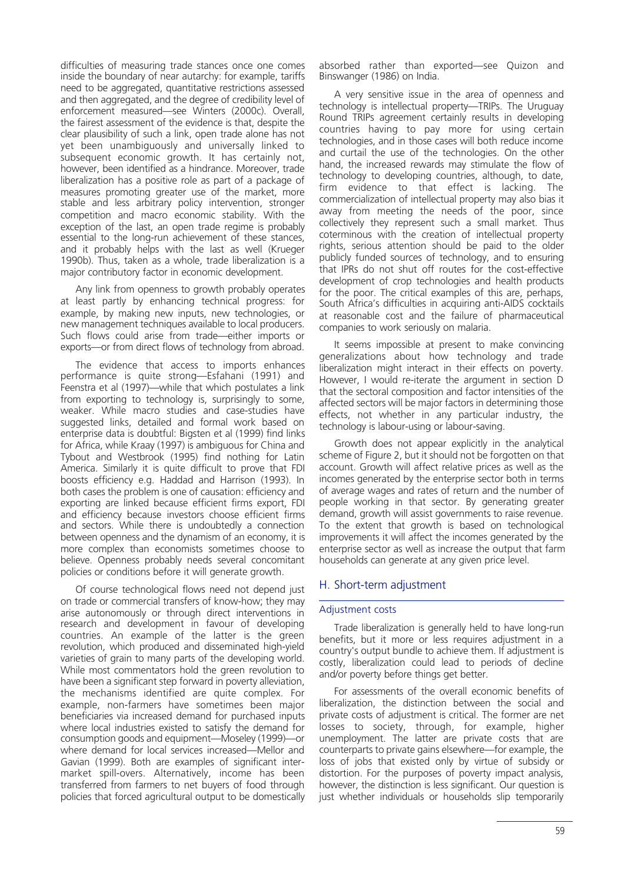difficulties of measuring trade stances once one comes inside the boundary of near autarchy: for example, tariffs need to be aggregated, quantitative restrictions assessed and then aggregated, and the degree of credibility level of enforcement measured—see Winters (2000c). Overall, the fairest assessment of the evidence is that, despite the clear plausibility of such a link, open trade alone has not yet been unambiguously and universally linked to subsequent economic growth. It has certainly not, however, been identified as a hindrance. Moreover, trade liberalization has a positive role as part of a package of measures promoting greater use of the market, more stable and less arbitrary policy intervention, stronger competition and macro economic stability. With the exception of the last, an open trade regime is probably essential to the long-run achievement of these stances, and it probably helps with the last as well (Krueger 1990b). Thus, taken as a whole, trade liberalization is a major contributory factor in economic development.

Any link from openness to growth probably operates at least partly by enhancing technical progress: for example, by making new inputs, new technologies, or new management techniques available to local producers. Such flows could arise from trade—either imports or exports—or from direct flows of technology from abroad.

The evidence that access to imports enhances performance is quite strong—Esfahani (1991) and Feenstra et al (1997)—while that which postulates a link from exporting to technology is, surprisingly to some, weaker. While macro studies and case-studies have suggested links, detailed and formal work based on enterprise data is doubtful: Bigsten et al (1999) find links for Africa, while Kraay (1997) is ambiguous for China and Tybout and Westbrook (1995) find nothing for Latin America. Similarly it is quite difficult to prove that FDI boosts efficiency e.g. Haddad and Harrison (1993). In both cases the problem is one of causation: efficiency and exporting are linked because efficient firms export, FDI and efficiency because investors choose efficient firms and sectors. While there is undoubtedly a connection between openness and the dynamism of an economy, it is more complex than economists sometimes choose to believe. Openness probably needs several concomitant policies or conditions before it will generate growth.

Of course technological flows need not depend just on trade or commercial transfers of know-how; they may arise autonomously or through direct interventions in research and development in favour of developing countries. An example of the latter is the green revolution, which produced and disseminated high-yield varieties of grain to many parts of the developing world. While most commentators hold the green revolution to have been a significant step forward in poverty alleviation, the mechanisms identified are quite complex. For example, non-farmers have sometimes been major beneficiaries via increased demand for purchased inputs where local industries existed to satisfy the demand for consumption goods and equipment—Moseley (1999)—or where demand for local services increased—Mellor and Gavian (1999). Both are examples of significant intermarket spill-overs. Alternatively, income has been transferred from farmers to net buyers of food through policies that forced agricultural output to be domestically absorbed rather than exported—see Quizon and Binswanger (1986) on India.

A very sensitive issue in the area of openness and technology is intellectual property—TRIPs. The Uruguay Round TRIPs agreement certainly results in developing countries having to pay more for using certain technologies, and in those cases will both reduce income and curtail the use of the technologies. On the other hand, the increased rewards may stimulate the flow of technology to developing countries, although, to date, firm evidence to that effect is lacking. The commercialization of intellectual property may also bias it away from meeting the needs of the poor, since collectively they represent such a small market. Thus coterminous with the creation of intellectual property rights, serious attention should be paid to the older publicly funded sources of technology, and to ensuring that IPRs do not shut off routes for the cost-effective development of crop technologies and health products for the poor. The critical examples of this are, perhaps, South Africa's difficulties in acquiring anti-AIDS cocktails at reasonable cost and the failure of pharmaceutical companies to work seriously on malaria.

It seems impossible at present to make convincing generalizations about how technology and trade liberalization might interact in their effects on poverty. However, I would re-iterate the argument in section D that the sectoral composition and factor intensities of the affected sectors will be major factors in determining those effects, not whether in any particular industry, the technology is labour-using or labour-saving.

Growth does not appear explicitly in the analytical scheme of Figure 2, but it should not be forgotten on that account. Growth will affect relative prices as well as the incomes generated by the enterprise sector both in terms of average wages and rates of return and the number of people working in that sector. By generating greater demand, growth will assist governments to raise revenue. To the extent that growth is based on technological improvements it will affect the incomes generated by the enterprise sector as well as increase the output that farm households can generate at any given price level.

## H. Short-term adjustment

### Adjustment costs

Trade liberalization is generally held to have long-run benefits, but it more or less requires adjustment in a country's output bundle to achieve them. If adjustment is costly, liberalization could lead to periods of decline and/or poverty before things get better.

For assessments of the overall economic benefits of liberalization, the distinction between the social and private costs of adjustment is critical. The former are net losses to society, through, for example, higher unemployment. The latter are private costs that are counterparts to private gains elsewhere—for example, the loss of jobs that existed only by virtue of subsidy or distortion. For the purposes of poverty impact analysis, however, the distinction is less significant. Our question is just whether individuals or households slip temporarily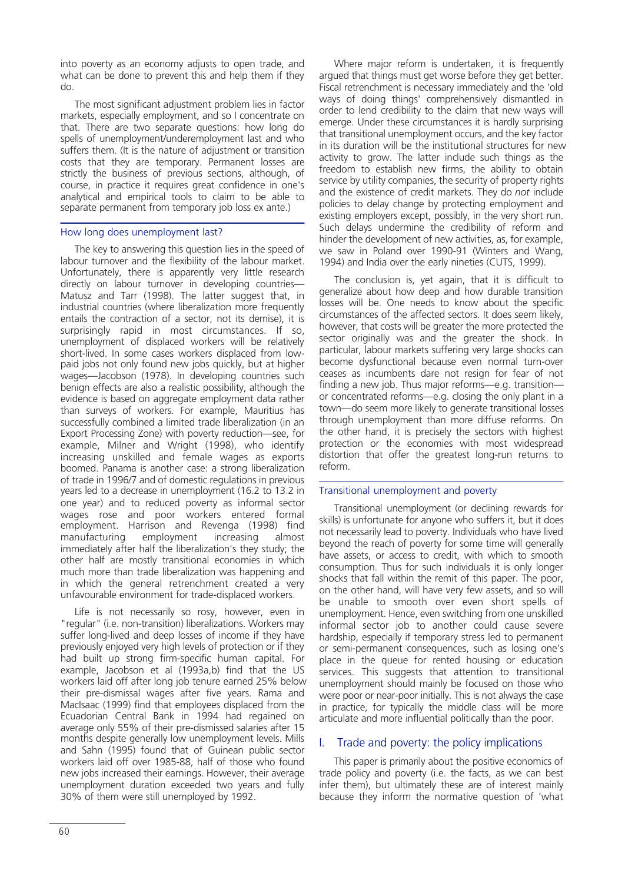into poverty as an economy adjusts to open trade, and what can be done to prevent this and help them if they do.

The most significant adjustment problem lies in factor markets, especially employment, and so I concentrate on that. There are two separate questions: how long do spells of unemployment/underemployment last and who suffers them. (It is the nature of adjustment or transition costs that they are temporary. Permanent losses are strictly the business of previous sections, although, of course, in practice it requires great confidence in one's analytical and empirical tools to claim to be able to separate permanent from temporary job loss ex ante.)

### How long does unemployment last?

The key to answering this question lies in the speed of labour turnover and the flexibility of the labour market. Unfortunately, there is apparently very little research directly on labour turnover in developing countries— Matusz and Tarr (1998). The latter suggest that, in industrial countries (where liberalization more frequently entails the contraction of a sector, not its demise), it is surprisingly rapid in most circumstances. If so, unemployment of displaced workers will be relatively short-lived. In some cases workers displaced from lowpaid jobs not only found new jobs quickly, but at higher wages—Jacobson (1978). In developing countries such benign effects are also a realistic possibility, although the evidence is based on aggregate employment data rather than surveys of workers. For example, Mauritius has successfully combined a limited trade liberalization (in an Export Processing Zone) with poverty reduction—see, for example, Milner and Wright (1998), who identify increasing unskilled and female wages as exports boomed. Panama is another case: a strong liberalization of trade in 1996/7 and of domestic regulations in previous years led to a decrease in unemployment (16.2 to 13.2 in one year) and to reduced poverty as informal sector wages rose and poor workers entered formal employment. Harrison and Revenga (1998) find manufacturing employment increasing almost immediately after half the liberalization's they study; the other half are mostly transitional economies in which much more than trade liberalization was happening and in which the general retrenchment created a very unfavourable environment for trade-displaced workers.

Life is not necessarily so rosy, however, even in "regular" (i.e. non-transition) liberalizations. Workers may suffer long-lived and deep losses of income if they have previously enjoyed very high levels of protection or if they had built up strong firm-specific human capital. For example, Jacobson et al (1993a,b) find that the US workers laid off after long job tenure earned 25% below their pre-dismissal wages after five years. Rama and MacIsaac (1999) find that employees displaced from the Ecuadorian Central Bank in 1994 had regained on average only 55% of their pre-dismissed salaries after 15 months despite generally low unemployment levels. Mills and Sahn (1995) found that of Guinean public sector workers laid off over 1985-88, half of those who found new jobs increased their earnings. However, their average unemployment duration exceeded two years and fully 30% of them were still unemployed by 1992.

Where major reform is undertaken, it is frequently argued that things must get worse before they get better. Fiscal retrenchment is necessary immediately and the 'old ways of doing things' comprehensively dismantled in order to lend credibility to the claim that new ways will emerge. Under these circumstances it is hardly surprising that transitional unemployment occurs, and the key factor in its duration will be the institutional structures for new activity to grow. The latter include such things as the freedom to establish new firms, the ability to obtain service by utility companies, the security of property rights and the existence of credit markets. They do *not* include policies to delay change by protecting employment and existing employers except, possibly, in the very short run. Such delays undermine the credibility of reform and hinder the development of new activities, as, for example, we saw in Poland over 1990-91 (Winters and Wang, 1994) and India over the early nineties (CUTS, 1999).

The conclusion is, yet again, that it is difficult to generalize about how deep and how durable transition losses will be. One needs to know about the specific circumstances of the affected sectors. It does seem likely, however, that costs will be greater the more protected the sector originally was and the greater the shock. In particular, labour markets suffering very large shocks can become dysfunctional because even normal turn-over ceases as incumbents dare not resign for fear of not finding a new job. Thus major reforms—e.g. transition or concentrated reforms—e.g. closing the only plant in a town—do seem more likely to generate transitional losses through unemployment than more diffuse reforms. On the other hand, it is precisely the sectors with highest protection or the economies with most widespread distortion that offer the greatest long-run returns to reform.

### Transitional unemployment and poverty

Transitional unemployment (or declining rewards for skills) is unfortunate for anyone who suffers it, but it does not necessarily lead to poverty. Individuals who have lived beyond the reach of poverty for some time will generally have assets, or access to credit, with which to smooth consumption. Thus for such individuals it is only longer shocks that fall within the remit of this paper. The poor, on the other hand, will have very few assets, and so will be unable to smooth over even short spells of unemployment. Hence, even switching from one unskilled informal sector job to another could cause severe hardship, especially if temporary stress led to permanent or semi-permanent consequences, such as losing one's place in the queue for rented housing or education services. This suggests that attention to transitional unemployment should mainly be focused on those who were poor or near-poor initially. This is not always the case in practice, for typically the middle class will be more articulate and more influential politically than the poor.

## I. Trade and poverty: the policy implications

This paper is primarily about the positive economics of trade policy and poverty (i.e. the facts, as we can best infer them), but ultimately these are of interest mainly because they inform the normative question of 'what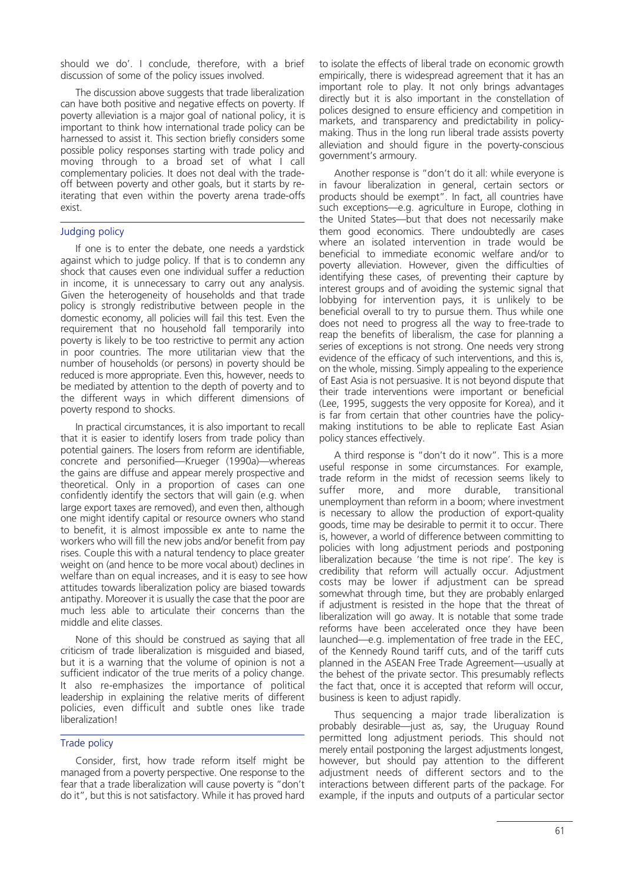should we do'. I conclude, therefore, with a brief discussion of some of the policy issues involved.

The discussion above suggests that trade liberalization can have both positive and negative effects on poverty. If poverty alleviation is a major goal of national policy, it is important to think how international trade policy can be harnessed to assist it. This section briefly considers some possible policy responses starting with trade policy and moving through to a broad set of what I call complementary policies. It does not deal with the tradeoff between poverty and other goals, but it starts by reiterating that even within the poverty arena trade-offs exist.

### Judging policy

If one is to enter the debate, one needs a yardstick against which to judge policy. If that is to condemn any shock that causes even one individual suffer a reduction in income, it is unnecessary to carry out any analysis. Given the heterogeneity of households and that trade policy is strongly redistributive between people in the domestic economy, all policies will fail this test. Even the requirement that no household fall temporarily into poverty is likely to be too restrictive to permit any action in poor countries. The more utilitarian view that the number of households (or persons) in poverty should be reduced is more appropriate. Even this, however, needs to be mediated by attention to the depth of poverty and to the different ways in which different dimensions of poverty respond to shocks.

In practical circumstances, it is also important to recall that it is easier to identify losers from trade policy than potential gainers. The losers from reform are identifiable, concrete and personified—Krueger (1990a)—whereas the gains are diffuse and appear merely prospective and theoretical. Only in a proportion of cases can one confidently identify the sectors that will gain (e.g. when large export taxes are removed), and even then, although one might identify capital or resource owners who stand to benefit, it is almost impossible ex ante to name the workers who will fill the new jobs and/or benefit from pay rises. Couple this with a natural tendency to place greater weight on (and hence to be more vocal about) declines in welfare than on equal increases, and it is easy to see how attitudes towards liberalization policy are biased towards antipathy. Moreover it is usually the case that the poor are much less able to articulate their concerns than the middle and elite classes.

None of this should be construed as saying that all criticism of trade liberalization is misguided and biased, but it is a warning that the volume of opinion is not a sufficient indicator of the true merits of a policy change. It also re-emphasizes the importance of political leadership in explaining the relative merits of different policies, even difficult and subtle ones like trade liberalization!

## Trade policy

Consider, first, how trade reform itself might be managed from a poverty perspective. One response to the fear that a trade liberalization will cause poverty is "don't do it", but this is not satisfactory. While it has proved hard to isolate the effects of liberal trade on economic growth empirically, there is widespread agreement that it has an important role to play. It not only brings advantages directly but it is also important in the constellation of polices designed to ensure efficiency and competition in markets, and transparency and predictability in policymaking. Thus in the long run liberal trade assists poverty alleviation and should figure in the poverty-conscious government's armoury.

Another response is "don't do it all: while everyone is in favour liberalization in general, certain sectors or products should be exempt". In fact, all countries have such exceptions—e.g. agriculture in Europe, clothing in the United States—but that does not necessarily make them good economics. There undoubtedly are cases where an isolated intervention in trade would be beneficial to immediate economic welfare and/or to poverty alleviation. However, given the difficulties of identifying these cases, of preventing their capture by interest groups and of avoiding the systemic signal that lobbying for intervention pays, it is unlikely to be beneficial overall to try to pursue them. Thus while one does not need to progress all the way to free-trade to reap the benefits of liberalism, the case for planning a series of exceptions is not strong. One needs very strong evidence of the efficacy of such interventions, and this is, on the whole, missing. Simply appealing to the experience of East Asia is not persuasive. It is not beyond dispute that their trade interventions were important or beneficial (Lee, 1995, suggests the very opposite for Korea), and it is far from certain that other countries have the policymaking institutions to be able to replicate East Asian policy stances effectively.

A third response is "don't do it now". This is a more useful response in some circumstances. For example, trade reform in the midst of recession seems likely to suffer more, and more durable, transitional unemployment than reform in a boom; where investment is necessary to allow the production of export-quality goods, time may be desirable to permit it to occur. There is, however, a world of difference between committing to policies with long adjustment periods and postponing liberalization because 'the time is not ripe'. The key is credibility that reform will actually occur. Adjustment costs may be lower if adjustment can be spread somewhat through time, but they are probably enlarged if adjustment is resisted in the hope that the threat of liberalization will go away. It is notable that some trade reforms have been accelerated once they have been launched—e.g. implementation of free trade in the EEC, of the Kennedy Round tariff cuts, and of the tariff cuts planned in the ASEAN Free Trade Agreement—usually at the behest of the private sector. This presumably reflects the fact that, once it is accepted that reform will occur, business is keen to adjust rapidly.

Thus sequencing a major trade liberalization is probably desirable—just as, say, the Uruguay Round permitted long adjustment periods. This should not merely entail postponing the largest adjustments longest, however, but should pay attention to the different adjustment needs of different sectors and to the interactions between different parts of the package. For example, if the inputs and outputs of a particular sector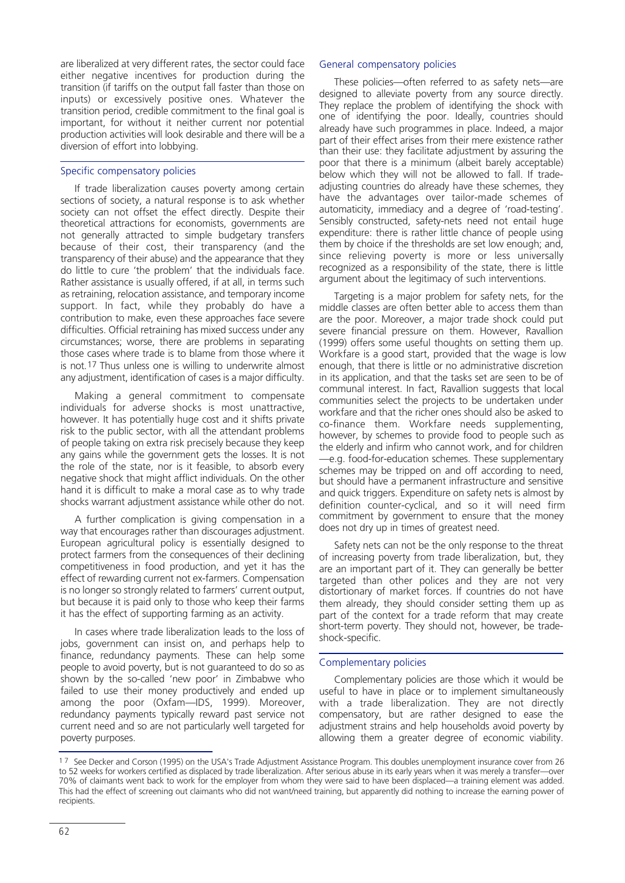are liberalized at very different rates, the sector could face either negative incentives for production during the transition (if tariffs on the output fall faster than those on inputs) or excessively positive ones. Whatever the transition period, credible commitment to the final goal is important, for without it neither current nor potential production activities will look desirable and there will be a diversion of effort into lobbying.

### Specific compensatory policies

If trade liberalization causes poverty among certain sections of society, a natural response is to ask whether society can not offset the effect directly. Despite their theoretical attractions for economists, governments are not generally attracted to simple budgetary transfers because of their cost, their transparency (and the transparency of their abuse) and the appearance that they do little to cure 'the problem' that the individuals face. Rather assistance is usually offered, if at all, in terms such as retraining, relocation assistance, and temporary income support. In fact, while they probably do have a contribution to make, even these approaches face severe difficulties. Official retraining has mixed success under any circumstances; worse, there are problems in separating those cases where trade is to blame from those where it is not.17 Thus unless one is willing to underwrite almost any adjustment, identification of cases is a major difficulty.

Making a general commitment to compensate individuals for adverse shocks is most unattractive, however. It has potentially huge cost and it shifts private risk to the public sector, with all the attendant problems of people taking on extra risk precisely because they keep any gains while the government gets the losses. It is not the role of the state, nor is it feasible, to absorb every negative shock that might afflict individuals. On the other hand it is difficult to make a moral case as to why trade shocks warrant adjustment assistance while other do not.

A further complication is giving compensation in a way that encourages rather than discourages adjustment. European agricultural policy is essentially designed to protect farmers from the consequences of their declining competitiveness in food production, and yet it has the effect of rewarding current not ex-farmers. Compensation is no longer so strongly related to farmers' current output, but because it is paid only to those who keep their farms it has the effect of supporting farming as an activity.

In cases where trade liberalization leads to the loss of jobs, government can insist on, and perhaps help to finance, redundancy payments. These can help some people to avoid poverty, but is not guaranteed to do so as shown by the so-called 'new poor' in Zimbabwe who failed to use their money productively and ended up among the poor (Oxfam—IDS, 1999). Moreover, redundancy payments typically reward past service not current need and so are not particularly well targeted for poverty purposes.

## General compensatory policies

These policies—often referred to as safety nets—are designed to alleviate poverty from any source directly. They replace the problem of identifying the shock with one of identifying the poor. Ideally, countries should already have such programmes in place. Indeed, a major part of their effect arises from their mere existence rather than their use: they facilitate adjustment by assuring the poor that there is a minimum (albeit barely acceptable) below which they will not be allowed to fall. If tradeadjusting countries do already have these schemes, they have the advantages over tailor-made schemes of automaticity, immediacy and a degree of 'road-testing'. Sensibly constructed, safety-nets need not entail huge expenditure: there is rather little chance of people using them by choice if the thresholds are set low enough; and, since relieving poverty is more or less universally recognized as a responsibility of the state, there is little argument about the legitimacy of such interventions.

Targeting is a major problem for safety nets, for the middle classes are often better able to access them than are the poor. Moreover, a major trade shock could put severe financial pressure on them. However, Ravallion (1999) offers some useful thoughts on setting them up. Workfare is a good start, provided that the wage is low enough, that there is little or no administrative discretion in its application, and that the tasks set are seen to be of communal interest. In fact, Ravallion suggests that local communities select the projects to be undertaken under workfare and that the richer ones should also be asked to co-finance them. Workfare needs supplementing, however, by schemes to provide food to people such as the elderly and infirm who cannot work, and for children —e.g. food-for-education schemes. These supplementary schemes may be tripped on and off according to need, but should have a permanent infrastructure and sensitive and quick triggers. Expenditure on safety nets is almost by definition counter-cyclical, and so it will need firm commitment by government to ensure that the money does not dry up in times of greatest need.

Safety nets can not be the only response to the threat of increasing poverty from trade liberalization, but, they are an important part of it. They can generally be better targeted than other polices and they are not very distortionary of market forces. If countries do not have them already, they should consider setting them up as part of the context for a trade reform that may create short-term poverty. They should not, however, be tradeshock-specific.

### Complementary policies

Complementary policies are those which it would be useful to have in place or to implement simultaneously with a trade liberalization. They are not directly compensatory, but are rather designed to ease the adjustment strains and help households avoid poverty by allowing them a greater degree of economic viability.

<sup>1 7</sup> See Decker and Corson (1995) on the USA's Trade Adjustment Assistance Program. This doubles unemployment insurance cover from 26 to 52 weeks for workers certified as displaced by trade liberalization. After serious abuse in its early years when it was merely a transfer—over 70% of claimants went back to work for the employer from whom they were said to have been displaced—a training element was added. This had the effect of screening out claimants who did not want/need training, but apparently did nothing to increase the earning power of recipients.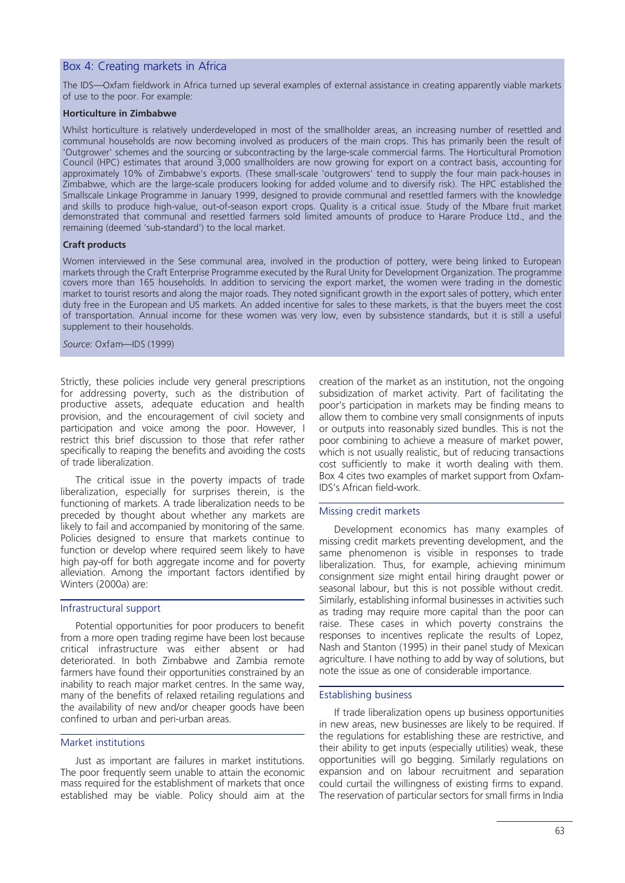## Box 4: Creating markets in Africa

The IDS—Oxfam fieldwork in Africa turned up several examples of external assistance in creating apparently viable markets of use to the poor. For example:

#### **Horticulture in Zimbabwe**

Whilst horticulture is relatively underdeveloped in most of the smallholder areas, an increasing number of resettled and communal households are now becoming involved as producers of the main crops. This has primarily been the result of 'Outgrower' schemes and the sourcing or subcontracting by the large-scale commercial farms. The Horticultural Promotion Council (HPC) estimates that around 3,000 smallholders are now growing for export on a contract basis, accounting for approximately 10% of Zimbabwe's exports. (These small-scale 'outgrowers' tend to supply the four main pack-houses in Zimbabwe, which are the large-scale producers looking for added volume and to diversify risk). The HPC established the Smallscale Linkage Programme in January 1999, designed to provide communal and resettled farmers with the knowledge and skills to produce high-value, out-of-season export crops. Quality is a critical issue. Study of the Mbare fruit market demonstrated that communal and resettled farmers sold limited amounts of produce to Harare Produce Ltd., and the remaining (deemed 'sub-standard') to the local market.

#### **Craft products**

Women interviewed in the Sese communal area, involved in the production of pottery, were being linked to European markets through the Craft Enterprise Programme executed by the Rural Unity for Development Organization. The programme covers more than 165 households. In addition to servicing the export market, the women were trading in the domestic market to tourist resorts and along the major roads. They noted significant growth in the export sales of pottery, which enter duty free in the European and US markets. An added incentive for sales to these markets, is that the buyers meet the cost of transportation. Annual income for these women was very low, even by subsistence standards, but it is still a useful supplement to their households.

*Source:* Oxfam—IDS (1999)

Strictly, these policies include very general prescriptions for addressing poverty, such as the distribution of productive assets, adequate education and health provision, and the encouragement of civil society and participation and voice among the poor. However, I restrict this brief discussion to those that refer rather specifically to reaping the benefits and avoiding the costs of trade liberalization.

The critical issue in the poverty impacts of trade liberalization, especially for surprises therein, is the functioning of markets. A trade liberalization needs to be preceded by thought about whether any markets are likely to fail and accompanied by monitoring of the same. Policies designed to ensure that markets continue to function or develop where required seem likely to have high pay-off for both aggregate income and for poverty alleviation. Among the important factors identified by Winters (2000a) are:

#### Infrastructural support

Potential opportunities for poor producers to benefit from a more open trading regime have been lost because critical infrastructure was either absent or had deteriorated. In both Zimbabwe and Zambia remote farmers have found their opportunities constrained by an inability to reach major market centres. In the same way, many of the benefits of relaxed retailing regulations and the availability of new and/or cheaper goods have been confined to urban and peri-urban areas.

### Market institutions

Just as important are failures in market institutions. The poor frequently seem unable to attain the economic mass required for the establishment of markets that once established may be viable. Policy should aim at the creation of the market as an institution, not the ongoing subsidization of market activity. Part of facilitating the poor's participation in markets may be finding means to allow them to combine very small consignments of inputs or outputs into reasonably sized bundles. This is not the poor combining to achieve a measure of market power, which is not usually realistic, but of reducing transactions cost sufficiently to make it worth dealing with them. Box 4 cites two examples of market support from Oxfam-IDS's African field-work.

#### Missing credit markets

Development economics has many examples of missing credit markets preventing development, and the same phenomenon is visible in responses to trade liberalization. Thus, for example, achieving minimum consignment size might entail hiring draught power or seasonal labour, but this is not possible without credit. Similarly, establishing informal businesses in activities such as trading may require more capital than the poor can raise. These cases in which poverty constrains the responses to incentives replicate the results of Lopez, Nash and Stanton (1995) in their panel study of Mexican agriculture. I have nothing to add by way of solutions, but note the issue as one of considerable importance.

#### Establishing business

If trade liberalization opens up business opportunities in new areas, new businesses are likely to be required. If the regulations for establishing these are restrictive, and their ability to get inputs (especially utilities) weak, these opportunities will go begging. Similarly regulations on expansion and on labour recruitment and separation could curtail the willingness of existing firms to expand. The reservation of particular sectors for small firms in India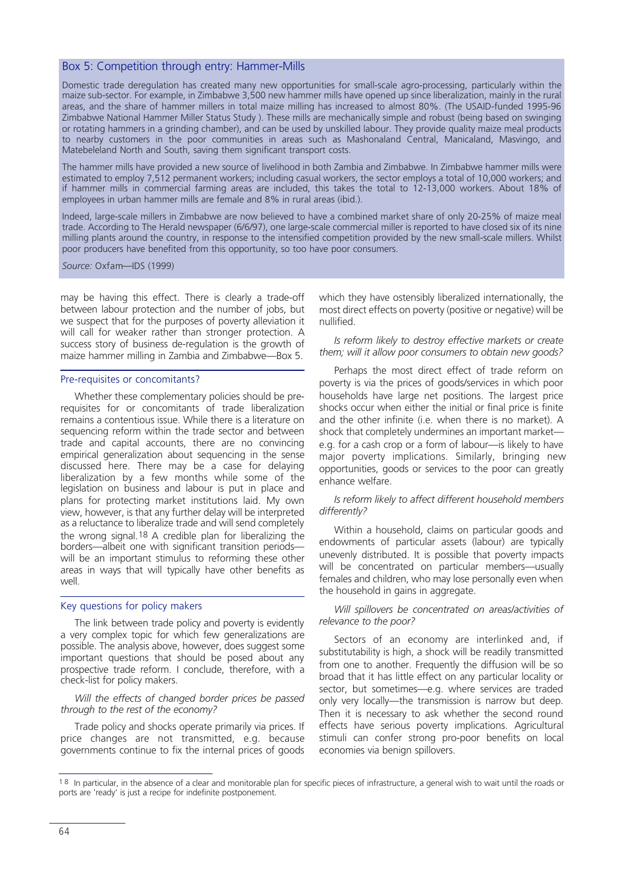## Box 5: Competition through entry: Hammer-Mills

Domestic trade deregulation has created many new opportunities for small-scale agro-processing, particularly within the maize sub-sector. For example, in Zimbabwe 3,500 new hammer mills have opened up since liberalization, mainly in the rural areas, and the share of hammer millers in total maize milling has increased to almost 80%. (The USAID-funded 1995-96 Zimbabwe National Hammer Miller Status Study ). These mills are mechanically simple and robust (being based on swinging or rotating hammers in a grinding chamber), and can be used by unskilled labour. They provide quality maize meal products to nearby customers in the poor communities in areas such as Mashonaland Central, Manicaland, Masvingo, and Matebeleland North and South, saving them significant transport costs.

The hammer mills have provided a new source of livelihood in both Zambia and Zimbabwe. In Zimbabwe hammer mills were estimated to employ 7,512 permanent workers; including casual workers, the sector employs a total of 10,000 workers; and if hammer mills in commercial farming areas are included, this takes the total to 12-13,000 workers. About 18% of employees in urban hammer mills are female and 8% in rural areas (ibid.).

Indeed, large-scale millers in Zimbabwe are now believed to have a combined market share of only 20-25% of maize meal trade. According to The Herald newspaper (6/6/97), one large-scale commercial miller is reported to have closed six of its nine milling plants around the country, in response to the intensified competition provided by the new small-scale millers. Whilst poor producers have benefited from this opportunity, so too have poor consumers.

*Source:* Oxfam—IDS (1999)

may be having this effect. There is clearly a trade-off between labour protection and the number of jobs, but we suspect that for the purposes of poverty alleviation it will call for weaker rather than stronger protection. A success story of business de-regulation is the growth of maize hammer milling in Zambia and Zimbabwe—Box 5.

#### Pre-requisites or concomitants?

Whether these complementary policies should be prerequisites for or concomitants of trade liberalization remains a contentious issue. While there is a literature on sequencing reform within the trade sector and between trade and capital accounts, there are no convincing empirical generalization about sequencing in the sense discussed here. There may be a case for delaying liberalization by a few months while some of the legislation on business and labour is put in place and plans for protecting market institutions laid. My own view, however, is that any further delay will be interpreted as a reluctance to liberalize trade and will send completely the wrong signal.18 A credible plan for liberalizing the borders—albeit one with significant transition periods will be an important stimulus to reforming these other areas in ways that will typically have other benefits as well.

### Key questions for policy makers

The link between trade policy and poverty is evidently a very complex topic for which few generalizations are possible. The analysis above, however, does suggest some important questions that should be posed about any prospective trade reform. I conclude, therefore, with a check-list for policy makers.

### *Will the effects of changed border prices be passed through to the rest of the economy?*

Trade policy and shocks operate primarily via prices. If price changes are not transmitted, e.g. because governments continue to fix the internal prices of goods which they have ostensibly liberalized internationally, the most direct effects on poverty (positive or negative) will be nullified.

*Is reform likely to destroy effective markets or create them; will it allow poor consumers to obtain new goods?*

Perhaps the most direct effect of trade reform on poverty is via the prices of goods/services in which poor households have large net positions. The largest price shocks occur when either the initial or final price is finite and the other infinite (i.e. when there is no market). A shock that completely undermines an important market e.g. for a cash crop or a form of labour—is likely to have major poverty implications. Similarly, bringing new opportunities, goods or services to the poor can greatly enhance welfare.

### *Is reform likely to affect different household members differently?*

Within a household, claims on particular goods and endowments of particular assets (labour) are typically unevenly distributed. It is possible that poverty impacts will be concentrated on particular members—usually females and children, who may lose personally even when the household in gains in aggregate.

*Will spillovers be concentrated on areas/activities of relevance to the poor?*

Sectors of an economy are interlinked and, if substitutability is high, a shock will be readily transmitted from one to another. Frequently the diffusion will be so broad that it has little effect on any particular locality or sector, but sometimes—e.g. where services are traded only very locally—the transmission is narrow but deep. Then it is necessary to ask whether the second round effects have serious poverty implications. Agricultural stimuli can confer strong pro-poor benefits on local economies via benign spillovers.

<sup>18</sup> In particular, in the absence of a clear and monitorable plan for specific pieces of infrastructure, a general wish to wait until the roads or ports are 'ready' is just a recipe for indefinite postponement.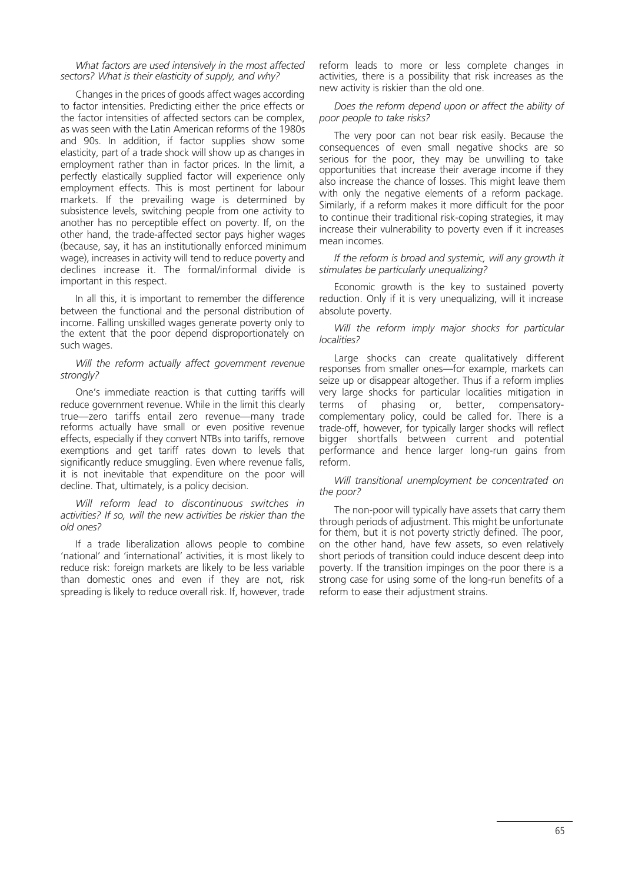### *What factors are used intensively in the most affected sectors? What is their elasticity of supply, and why?*

Changes in the prices of goods affect wages according to factor intensities. Predicting either the price effects or the factor intensities of affected sectors can be complex, as was seen with the Latin American reforms of the 1980s and 90s. In addition, if factor supplies show some elasticity, part of a trade shock will show up as changes in employment rather than in factor prices. In the limit, a perfectly elastically supplied factor will experience only employment effects. This is most pertinent for labour markets. If the prevailing wage is determined by subsistence levels, switching people from one activity to another has no perceptible effect on poverty. If, on the other hand, the trade-affected sector pays higher wages (because, say, it has an institutionally enforced minimum wage), increases in activity will tend to reduce poverty and declines increase it. The formal/informal divide is important in this respect.

In all this, it is important to remember the difference between the functional and the personal distribution of income. Falling unskilled wages generate poverty only to the extent that the poor depend disproportionately on such wages.

*Will the reform actually affect government revenue strongly?*

One's immediate reaction is that cutting tariffs will reduce government revenue. While in the limit this clearly true—zero tariffs entail zero revenue—many trade reforms actually have small or even positive revenue effects, especially if they convert NTBs into tariffs, remove exemptions and get tariff rates down to levels that significantly reduce smuggling. Even where revenue falls, it is not inevitable that expenditure on the poor will decline. That, ultimately, is a policy decision.

*Will reform lead to discontinuous switches in activities? If so, will the new activities be riskier than the old ones?*

If a trade liberalization allows people to combine 'national' and 'international' activities, it is most likely to reduce risk: foreign markets are likely to be less variable than domestic ones and even if they are not, risk spreading is likely to reduce overall risk. If, however, trade reform leads to more or less complete changes in activities, there is a possibility that risk increases as the new activity is riskier than the old one.

*Does the reform depend upon or affect the ability of poor people to take risks?*

The very poor can not bear risk easily. Because the consequences of even small negative shocks are so serious for the poor, they may be unwilling to take opportunities that increase their average income if they also increase the chance of losses. This might leave them with only the negative elements of a reform package. Similarly, if a reform makes it more difficult for the poor to continue their traditional risk-coping strategies, it may increase their vulnerability to poverty even if it increases mean incomes.

*If the reform is broad and systemic, will any growth it stimulates be particularly unequalizing?*

Economic growth is the key to sustained poverty reduction. Only if it is very unequalizing, will it increase absolute poverty.

*Will the reform imply major shocks for particular localities?*

Large shocks can create qualitatively different responses from smaller ones—for example, markets can seize up or disappear altogether. Thus if a reform implies very large shocks for particular localities mitigation in terms of phasing or, better, compensatorycomplementary policy, could be called for. There is a trade-off, however, for typically larger shocks will reflect bigger shortfalls between current and potential performance and hence larger long-run gains from reform.

*Will transitional unemployment be concentrated on the poor?*

The non-poor will typically have assets that carry them through periods of adjustment. This might be unfortunate for them, but it is not poverty strictly defined. The poor, on the other hand, have few assets, so even relatively short periods of transition could induce descent deep into poverty. If the transition impinges on the poor there is a strong case for using some of the long-run benefits of a reform to ease their adjustment strains.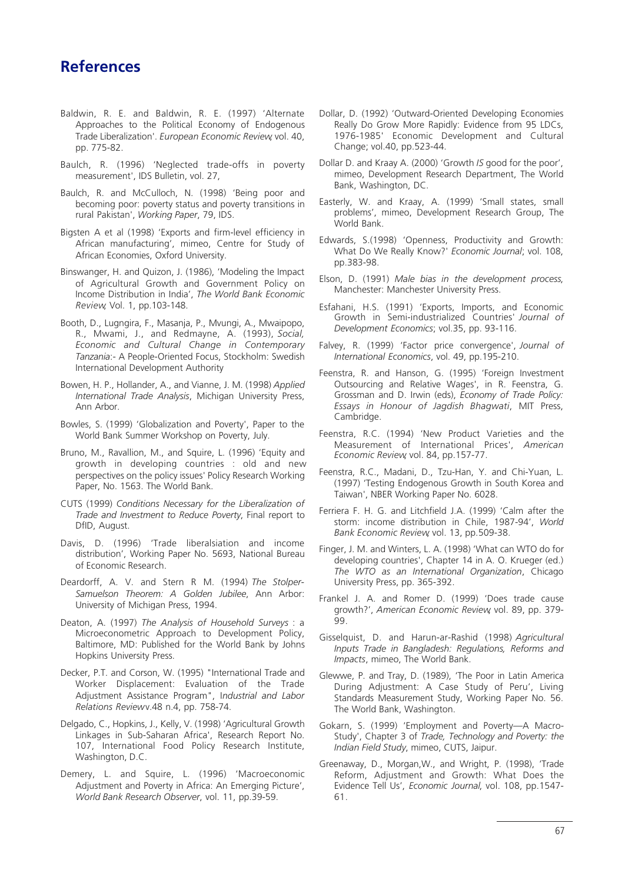# **References**

- Baldwin, R. E. and Baldwin, R. E. (1997) 'Alternate Approaches to the Political Economy of Endogenous Trade Liberalization'. *European Economic Review*, vol. 40, pp. 775-82.
- Baulch, R. (1996) 'Neglected trade-offs in poverty measurement', IDS Bulletin, vol. 27,
- Baulch, R. and McCulloch, N. (1998) 'Being poor and becoming poor: poverty status and poverty transitions in rural Pakistan', *Working Paper*, 79, IDS.
- Bigsten A et al (1998) 'Exports and firm-level efficiency in African manufacturing', mimeo, Centre for Study of African Economies, Oxford University.
- Binswanger, H. and Quizon, J. (1986), 'Modeling the Impact of Agricultural Growth and Government Policy on Income Distribution in India', *The World Bank Economic Review*, Vol. 1, pp.103-148.
- Booth, D., Lugngira, F., Masanja, P., Mvungi, A., Mwaipopo, R., Mwami, J., and Redmayne, A. (1993), *Social, Economic and Cultural Change in Contemporary Tanzania*:- A People-Oriented Focus, Stockholm: Swedish International Development Authority
- Bowen, H. P., Hollander, A., and Vianne, J. M. (1998) *Applied International Trade Analysis*, Michigan University Press, Ann Arbor.
- Bowles, S. (1999) 'Globalization and Poverty', Paper to the World Bank Summer Workshop on Poverty, July.
- Bruno, M., Ravallion, M., and Squire, L. (1996) 'Equity and growth in developing countries : old and new perspectives on the policy issues' Policy Research Working Paper, No. 1563. The World Bank.
- CUTS (1999) *Conditions Necessary for the Liberalization of Trade and Investment to Reduce Poverty*, Final report to DfID, August.
- Davis, D. (1996) 'Trade liberalsiation and income distribution', Working Paper No. 5693, National Bureau of Economic Research.
- Deardorff, A. V. and Stern R M. (1994) *The Stolper-Samuelson Theorem: A Golden Jubilee*, Ann Arbor: University of Michigan Press, 1994.
- Deaton, A. (1997) *The Analysis of Household Surveys* : a Microeconometric Approach to Development Policy, Baltimore, MD: Published for the World Bank by Johns Hopkins University Press.
- Decker, P.T. and Corson, W. (1995) "International Trade and Worker Displacement: Evaluation of the Trade Adjustment Assistance Program", I*ndustrial and Labor Relations Review*v.48 n.4, pp. 758-74.
- Delgado, C., Hopkins, J., Kelly, V. (1998) 'Agricultural Growth Linkages in Sub-Saharan Africa', Research Report No. 107, International Food Policy Research Institute, Washington, D.C.
- Demery, L. and Squire, L. (1996) 'Macroeconomic Adjustment and Poverty in Africa: An Emerging Picture', *World Bank Research Observer*, vol. 11, pp.39-59.
- Dollar, D. (1992) 'Outward-Oriented Developing Economies Really Do Grow More Rapidly: Evidence from 95 LDCs, 1976-1985' Economic Development and Cultural Change; vol.40, pp.523-44.
- Dollar D. and Kraay A. (2000) 'Growth *IS* good for the poor', mimeo, Development Research Department, The World Bank, Washington, DC.
- Easterly, W. and Kraay, A. (1999) 'Small states, small problems', mimeo, Development Research Group, The World Bank.
- Edwards, S.(1998) 'Openness, Productivity and Growth: What Do We Really Know?' *Economic Journal*; vol. 108, pp.383-98.
- Elson, D. (1991) *Male bias in the development process*, Manchester: Manchester University Press.
- Esfahani, H.S. (1991) 'Exports, Imports, and Economic Growth in Semi-industrialized Countries' *Journal of Development Economics*; vol.35, pp. 93-116.
- Falvey, R. (1999) 'Factor price convergence', *Journal of International Economics*, vol. 49, pp.195-210.
- Feenstra, R. and Hanson, G. (1995) 'Foreign Investment Outsourcing and Relative Wages', in R. Feenstra, G. Grossman and D. Irwin (eds), *Economy of Trade Policy: Essays in Honour of Jagdish Bhagwati*, MIT Press, Cambridge.
- Feenstra, R.C. (1994) 'New Product Varieties and the Measurement of International Prices', *American Economic Review*, vol. 84, pp.157-77.
- Feenstra, R.C., Madani, D., Tzu-Han, Y. and Chi-Yuan, L. (1997) 'Testing Endogenous Growth in South Korea and Taiwan', NBER Working Paper No. 6028.
- Ferriera F. H. G. and Litchfield J.A. (1999) 'Calm after the storm: income distribution in Chile, 1987-94', *World Bank Economic Review*, vol. 13, pp.509-38.
- Finger, J. M. and Winters, L. A. (1998) 'What can WTO do for developing countries', Chapter 14 in A. O. Krueger (ed.) *The WTO as an International Organization*, Chicago University Press, pp. 365-392.
- Frankel J. A. and Romer D. (1999) 'Does trade cause growth?', *American Economic Review*, vol. 89, pp. 379- 99.
- Gisselquist, D. and Harun-ar-Rashid (1998) *Agricultural Inputs Trade in Bangladesh: Regulations, Reforms and Impacts*, mimeo, The World Bank.
- Glewwe, P. and Tray, D. (1989), 'The Poor in Latin America During Adjustment: A Case Study of Peru', Living Standards Measurement Study, Working Paper No. 56. The World Bank, Washington.
- Gokarn, S. (1999) 'Employment and Poverty—A Macro-Study', Chapter 3 of *Trade, Technology and Poverty: the Indian Field Study*, mimeo, CUTS, Jaipur.
- Greenaway, D., Morgan,W., and Wright, P. (1998), 'Trade Reform, Adjustment and Growth: What Does the Evidence Tell Us', *Economic Journal*, vol. 108, pp.1547- 61.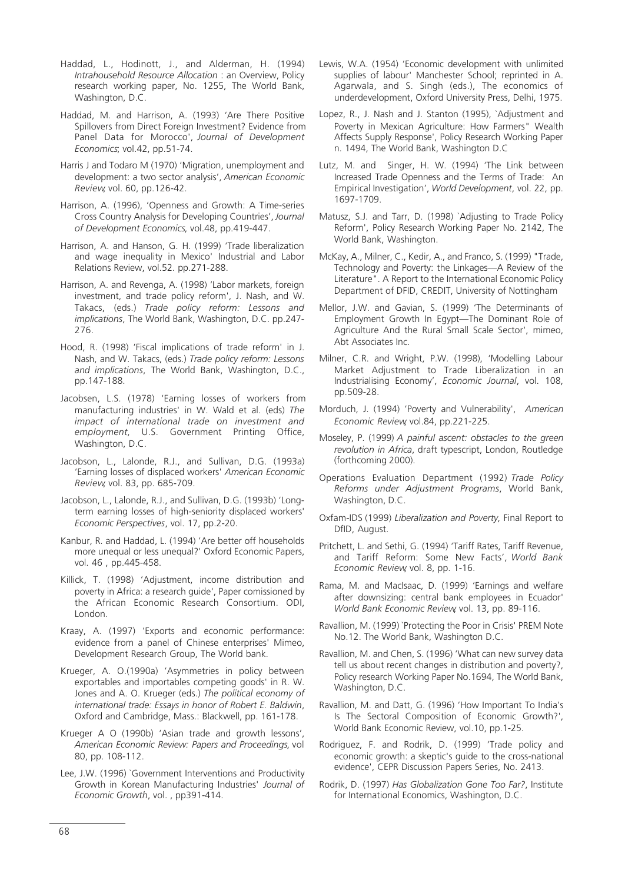- Haddad, L., Hodinott, J., and Alderman, H. (1994) *Intrahousehold Resource Allocation* : an Overview, Policy research working paper, No. 1255, The World Bank, Washington, D.C.
- Haddad, M. and Harrison, A. (1993) 'Are There Positive Spillovers from Direct Foreign Investment? Evidence from Panel Data for Morocco', *Journal of Development Economics*; vol.42, pp.51-74.
- Harris J and Todaro M (1970) 'Migration, unemployment and development: a two sector analysis', *American Economic Review*, vol. 60, pp.126-42.
- Harrison, A. (1996), 'Openness and Growth: A Time-series Cross Country Analysis for Developing Countries',*Journal of Development Economics*, vol.48, pp.419-447.
- Harrison, A. and Hanson, G. H. (1999) 'Trade liberalization and wage inequality in Mexico' Industrial and Labor Relations Review, vol.52. pp.271-288.
- Harrison, A. and Revenga, A. (1998) 'Labor markets, foreign investment, and trade policy reform', J. Nash, and W. Takacs, (eds.) *Trade policy reform: Lessons and implications*, The World Bank, Washington, D.C. pp.247- 276.
- Hood, R. (1998) 'Fiscal implications of trade reform' in J. Nash, and W. Takacs, (eds.) *Trade policy reform: Lessons and implications*, The World Bank, Washington, D.C., pp.147-188.
- Jacobsen, L.S. (1978) 'Earning losses of workers from manufacturing industries' in W. Wald et al. (eds) *The impact of international trade on investment and employment*, U.S. Government Printing Office, Washington, D.C.
- Jacobson, L., Lalonde, R.J., and Sullivan, D.G. (1993a) 'Earning losses of displaced workers' *American Economic Review*, vol. 83, pp. 685-709.
- Jacobson, L., Lalonde, R.J., and Sullivan, D.G. (1993b) 'Longterm earning losses of high-seniority displaced workers' *Economic Perspectives*, vol. 17, pp.2-20.
- Kanbur, R. and Haddad, L. (1994) 'Are better off households more unequal or less unequal?' Oxford Economic Papers, vol. 46 , pp.445-458.
- Killick, T. (1998) 'Adjustment, income distribution and poverty in Africa: a research guide', Paper comissioned by the African Economic Research Consortium. ODI, London.
- Kraay, A. (1997) 'Exports and economic performance: evidence from a panel of Chinese enterprises' Mimeo, Development Research Group, The World bank.
- Krueger, A. O.(1990a) 'Asymmetries in policy between exportables and importables competing goods' in R. W. Jones and A. O. Krueger (eds.) *The political economy of international trade: Essays in honor of Robert E. Baldwin*, Oxford and Cambridge, Mass.: Blackwell, pp. 161-178.
- Krueger A O (1990b) 'Asian trade and growth lessons', *American Economic Review: Papers and Proceedings*, vol 80, pp. 108-112.
- Lee, J.W. (1996) `Government Interventions and Productivity Growth in Korean Manufacturing Industries' *Journal of Economic Growth*, vol. , pp391-414.
- Lewis, W.A. (1954) 'Economic development with unlimited supplies of labour' Manchester School; reprinted in A. Agarwala, and S. Singh (eds.), The economics of underdevelopment, Oxford University Press, Delhi, 1975.
- Lopez, R., J. Nash and J. Stanton (1995), `Adjustment and Poverty in Mexican Agriculture: How Farmers" Wealth Affects Supply Response', Policy Research Working Paper n. 1494, The World Bank, Washington D.C
- Lutz, M. and Singer, H. W. (1994) 'The Link between Increased Trade Openness and the Terms of Trade: An Empirical Investigation', *World Development*, vol. 22, pp. 1697-1709.
- Matusz, S.J. and Tarr, D. (1998) `Adjusting to Trade Policy Reform', Policy Research Working Paper No. 2142, The World Bank, Washington.
- McKay, A., Milner, C., Kedir, A., and Franco, S. (1999) "Trade, Technology and Poverty: the Linkages—A Review of the Literature". A Report to the International Economic Policy Department of DFID, CREDIT, University of Nottingham
- Mellor, J.W. and Gavian, S. (1999) 'The Determinants of Employment Growth In Egypt—The Dominant Role of Agriculture And the Rural Small Scale Sector', mimeo, Abt Associates Inc.
- Milner, C.R. and Wright, P.W. (1998), 'Modelling Labour Market Adjustment to Trade Liberalization in an Industrialising Economy', *Economic Journal*, vol. 108, pp.509-28.
- Morduch, J. (1994) 'Poverty and Vulnerability', *American Economic Review*, vol.84, pp.221-225.
- Moseley, P. (1999) *A painful ascent: obstacles to the green revolution in Africa*, draft typescript, London, Routledge (forthcoming 2000).
- Operations Evaluation Department (1992) *Trade Policy Reforms under Adjustment Programs*, World Bank, Washington, D.C.
- Oxfam-IDS (1999) *Liberalization and Poverty*, Final Report to DfID, August.
- Pritchett, L. and Sethi, G. (1994) 'Tariff Rates, Tariff Revenue, and Tariff Reform: Some New Facts', *World Bank Economic Review*, vol. 8, pp. 1-16.
- Rama, M. and MacIsaac, D. (1999) 'Earnings and welfare after downsizing: central bank employees in Ecuador' *World Bank Economic Review*, vol. 13, pp. 89-116.
- Ravallion, M. (1999) `Protecting the Poor in Crisis' PREM Note No.12. The World Bank, Washington D.C.
- Ravallion, M. and Chen, S. (1996) 'What can new survey data tell us about recent changes in distribution and poverty?, Policy research Working Paper No.1694, The World Bank, Washington, D.C.
- Ravallion, M. and Datt, G. (1996) 'How Important To India's Is The Sectoral Composition of Economic Growth?', World Bank Economic Review, vol.10, pp.1-25.
- Rodriguez, F. and Rodrik, D. (1999) 'Trade policy and economic growth: a skeptic's guide to the cross-national evidence', CEPR Discussion Papers Series, No. 2413.
- Rodrik, D. (1997) *Has Globalization Gone Too Far?*, Institute for International Economics, Washington, D.C.